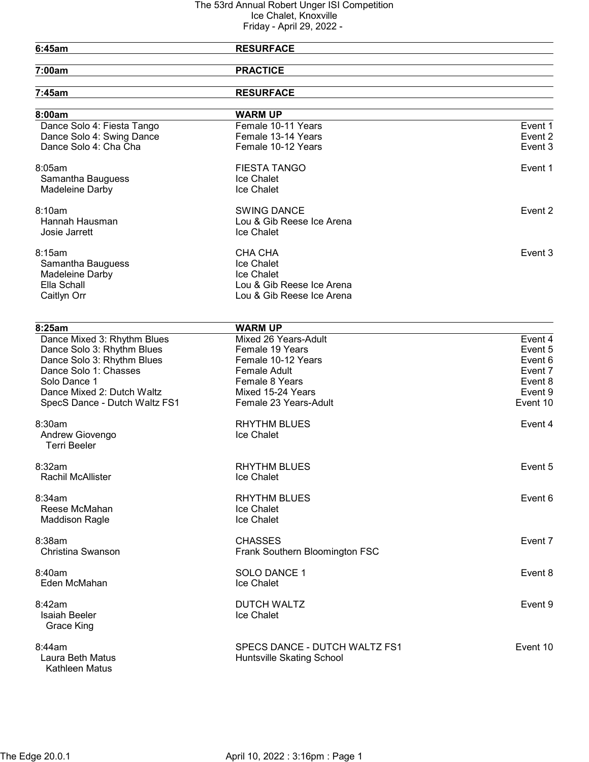| 6:45am                        | <b>RESURFACE</b>               |          |
|-------------------------------|--------------------------------|----------|
| 7:00am                        | <b>PRACTICE</b>                |          |
| 7:45am                        | <b>RESURFACE</b>               |          |
| 8:00am                        | <b>WARM UP</b>                 |          |
| Dance Solo 4: Fiesta Tango    | Female 10-11 Years             | Event 1  |
| Dance Solo 4: Swing Dance     | Female 13-14 Years             | Event 2  |
| Dance Solo 4: Cha Cha         | Female 10-12 Years             | Event 3  |
| 8:05am                        | <b>FIESTA TANGO</b>            | Event 1  |
| Samantha Bauguess             | Ice Chalet                     |          |
| Madeleine Darby               | Ice Chalet                     |          |
| 8:10am                        | <b>SWING DANCE</b>             | Event 2  |
| Hannah Hausman                | Lou & Gib Reese Ice Arena      |          |
| Josie Jarrett                 | Ice Chalet                     |          |
| 8:15am                        | <b>CHA CHA</b>                 | Event 3  |
| Samantha Bauguess             | Ice Chalet                     |          |
| Madeleine Darby               | Ice Chalet                     |          |
| Ella Schall                   | Lou & Gib Reese Ice Arena      |          |
| Caitlyn Orr                   | Lou & Gib Reese Ice Arena      |          |
|                               |                                |          |
| 8:25am                        | <b>WARM UP</b>                 |          |
| Dance Mixed 3: Rhythm Blues   | Mixed 26 Years-Adult           | Event 4  |
| Dance Solo 3: Rhythm Blues    | Female 19 Years                | Event 5  |
| Dance Solo 3: Rhythm Blues    | Female 10-12 Years             | Event 6  |
| Dance Solo 1: Chasses         | <b>Female Adult</b>            | Event 7  |
| Solo Dance 1                  | Female 8 Years                 | Event 8  |
| Dance Mixed 2: Dutch Waltz    | Mixed 15-24 Years              | Event 9  |
| SpecS Dance - Dutch Waltz FS1 | Female 23 Years-Adult          | Event 10 |
| 8:30am                        | <b>RHYTHM BLUES</b>            | Event 4  |
| Andrew Giovengo               | Ice Chalet                     |          |
| Terri Beeler                  |                                |          |
| 8:32am                        | <b>RHYTHM BLUES</b>            | Event 5  |
| Rachil McAllister             | Ice Chalet                     |          |
| 8:34am                        | <b>RHYTHM BLUES</b>            | Event 6  |
| Reese McMahan                 | Ice Chalet                     |          |
| <b>Maddison Ragle</b>         | Ice Chalet                     |          |
| 8:38am                        | <b>CHASSES</b>                 | Event 7  |
| Christina Swanson             | Frank Southern Bloomington FSC |          |
| 8:40am                        | SOLO DANCE 1                   | Event 8  |
| Eden McMahan                  | Ice Chalet                     |          |
| 8:42am                        | <b>DUTCH WALTZ</b>             | Event 9  |
| <b>Isaiah Beeler</b>          | Ice Chalet                     |          |
| Grace King                    |                                |          |
| 8:44am                        | SPECS DANCE - DUTCH WALTZ FS1  | Event 10 |
| Laura Beth Matus              | Huntsville Skating School      |          |
| Kathleen Matus                |                                |          |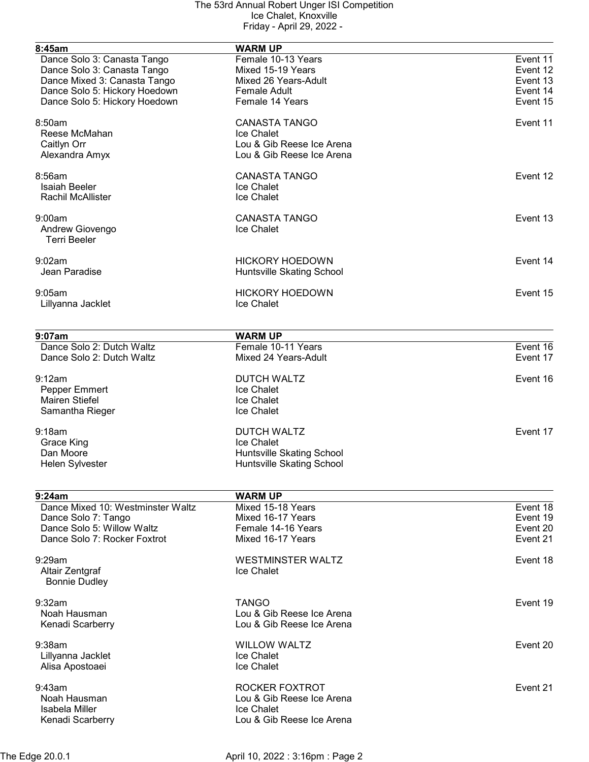| 8:45am                            | <b>WARM UP</b>            |          |
|-----------------------------------|---------------------------|----------|
| Dance Solo 3: Canasta Tango       | Female 10-13 Years        | Event 11 |
| Dance Solo 3: Canasta Tango       | Mixed 15-19 Years         | Event 12 |
| Dance Mixed 3: Canasta Tango      | Mixed 26 Years-Adult      | Event 13 |
|                                   | <b>Female Adult</b>       | Event 14 |
| Dance Solo 5: Hickory Hoedown     |                           |          |
| Dance Solo 5: Hickory Hoedown     | Female 14 Years           | Event 15 |
| 8:50am                            | <b>CANASTA TANGO</b>      | Event 11 |
| Reese McMahan                     | Ice Chalet                |          |
| Caitlyn Orr                       | Lou & Gib Reese Ice Arena |          |
| Alexandra Amyx                    | Lou & Gib Reese Ice Arena |          |
| 8:56am                            | <b>CANASTA TANGO</b>      | Event 12 |
| <b>Isaiah Beeler</b>              | Ice Chalet                |          |
| <b>Rachil McAllister</b>          | Ice Chalet                |          |
|                                   |                           |          |
| 9:00am                            | <b>CANASTA TANGO</b>      | Event 13 |
| Andrew Giovengo                   | Ice Chalet                |          |
| <b>Terri Beeler</b>               |                           |          |
| 9:02am                            | <b>HICKORY HOEDOWN</b>    | Event 14 |
| Jean Paradise                     | Huntsville Skating School |          |
|                                   |                           |          |
| 9:05am                            | <b>HICKORY HOEDOWN</b>    | Event 15 |
| Lillyanna Jacklet                 | Ice Chalet                |          |
|                                   |                           |          |
| 9:07am                            | <b>WARM UP</b>            |          |
| Dance Solo 2: Dutch Waltz         | Female 10-11 Years        | Event 16 |
| Dance Solo 2: Dutch Waltz         | Mixed 24 Years-Adult      | Event 17 |
|                                   |                           |          |
| 9:12am                            | <b>DUTCH WALTZ</b>        | Event 16 |
| Pepper Emmert                     | Ice Chalet                |          |
| <b>Mairen Stiefel</b>             | Ice Chalet                |          |
| Samantha Rieger                   | Ice Chalet                |          |
| 9:18am                            | <b>DUTCH WALTZ</b>        | Event 17 |
| Grace King                        | Ice Chalet                |          |
| Dan Moore                         | Huntsville Skating School |          |
| Helen Sylvester                   | Huntsville Skating School |          |
|                                   |                           |          |
| 9:24am                            | <b>WARM UP</b>            |          |
| Dance Mixed 10: Westminster Waltz | Mixed 15-18 Years         | Event 18 |
| Dance Solo 7: Tango               | Mixed 16-17 Years         | Event 19 |
| Dance Solo 5: Willow Waltz        | Female 14-16 Years        | Event 20 |
| Dance Solo 7: Rocker Foxtrot      | Mixed 16-17 Years         | Event 21 |
| 9:29am                            | <b>WESTMINSTER WALTZ</b>  | Event 18 |
| Altair Zentgraf                   | Ice Chalet                |          |
|                                   |                           |          |
| <b>Bonnie Dudley</b>              |                           |          |
| 9:32am                            | <b>TANGO</b>              | Event 19 |
| Noah Hausman                      | Lou & Gib Reese Ice Arena |          |
| Kenadi Scarberry                  | Lou & Gib Reese Ice Arena |          |
| $9:38$ am                         | <b>WILLOW WALTZ</b>       | Event 20 |
| Lillyanna Jacklet                 | Ice Chalet                |          |
| Alisa Apostoaei                   | Ice Chalet                |          |
|                                   |                           |          |
| 9:43am                            | ROCKER FOXTROT            | Event 21 |
| Noah Hausman                      | Lou & Gib Reese Ice Arena |          |
| Isabela Miller                    | Ice Chalet                |          |
| Kenadi Scarberry                  | Lou & Gib Reese Ice Arena |          |
|                                   |                           |          |

The Edge 20.0.1 April 10, 2022 : 3:16pm : Page 2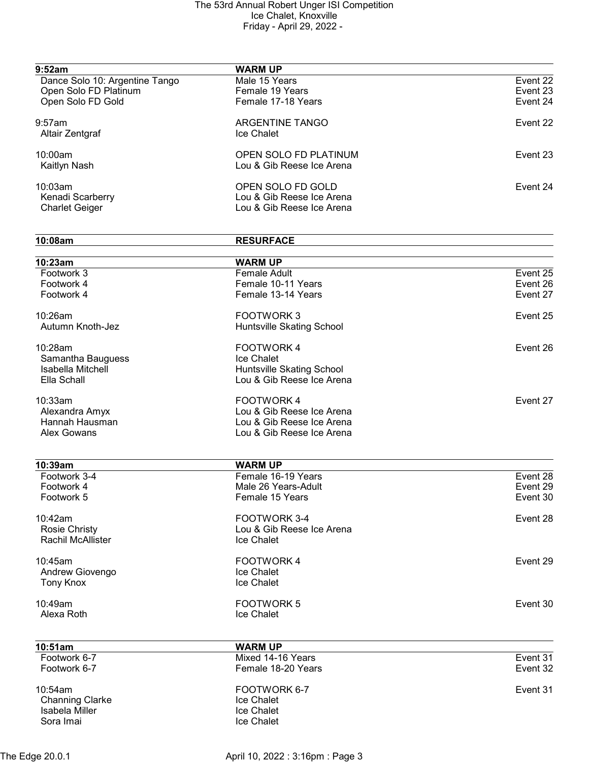| 9:52am                         | <b>WARM UP</b>            |          |
|--------------------------------|---------------------------|----------|
| Dance Solo 10: Argentine Tango | Male 15 Years             | Event 22 |
| Open Solo FD Platinum          | Female 19 Years           | Event 23 |
| Open Solo FD Gold              | Female 17-18 Years        | Event 24 |
| $9:57$ am                      | ARGENTINE TANGO           | Event 22 |
| Altair Zentgraf                | Ice Chalet                |          |
| 10:00am                        | OPEN SOLO FD PLATINUM     | Event 23 |
| Kaitlyn Nash                   | Lou & Gib Reese Ice Arena |          |
| 10:03am                        | OPEN SOLO FD GOLD         | Event 24 |
| Kenadi Scarberry               | Lou & Gib Reese Ice Arena |          |
| <b>Charlet Geiger</b>          | Lou & Gib Reese Ice Arena |          |
| 10:08am                        | <b>RESURFACE</b>          |          |
|                                |                           |          |
| 10:23am                        | <b>WARM UP</b>            |          |
| Footwork 3                     | <b>Female Adult</b>       | Event 25 |
| Footwork 4                     | Female 10-11 Years        | Event 26 |
| Footwork 4                     | Female 13-14 Years        | Event 27 |
| 10:26am                        | <b>FOOTWORK3</b>          | Event 25 |
| Autumn Knoth-Jez               | Huntsville Skating School |          |
| 10:28am                        | <b>FOOTWORK4</b>          | Event 26 |
| Samantha Bauguess              | Ice Chalet                |          |
| Isabella Mitchell              | Huntsville Skating School |          |
| Ella Schall                    | Lou & Gib Reese Ice Arena |          |
| 10:33am                        | <b>FOOTWORK4</b>          | Event 27 |
| Alexandra Amyx                 | Lou & Gib Reese Ice Arena |          |
| Hannah Hausman                 | Lou & Gib Reese Ice Arena |          |
| <b>Alex Gowans</b>             | Lou & Gib Reese Ice Arena |          |
| 10:39am                        | <b>WARM UP</b>            |          |
| Footwork 3-4                   | Female 16-19 Years        | Event 28 |
| Footwork 4                     | Male 26 Years-Adult       | Event 29 |
| Footwork 5                     | Female 15 Years           | Event 30 |
| 10:42am                        | FOOTWORK 3-4              | Event 28 |
| <b>Rosie Christy</b>           | Lou & Gib Reese Ice Arena |          |
| <b>Rachil McAllister</b>       | Ice Chalet                |          |
| 10:45am                        | <b>FOOTWORK4</b>          | Event 29 |
| Andrew Giovengo                | Ice Chalet                |          |
| <b>Tony Knox</b>               | Ice Chalet                |          |
| 10:49am                        | <b>FOOTWORK 5</b>         | Event 30 |
| Alexa Roth                     | Ice Chalet                |          |
| 10:51am                        | <b>WARM UP</b>            |          |
| Footwork 6-7                   | Mixed 14-16 Years         | Event 31 |
| Footwork 6-7                   | Female 18-20 Years        | Event 32 |
| 10:54am                        | FOOTWORK 6-7              | Event 31 |
| <b>Channing Clarke</b>         | Ice Chalet                |          |
| Isabela Miller                 | Ice Chalet                |          |
| Sora Imai                      | Ice Chalet                |          |
|                                |                           |          |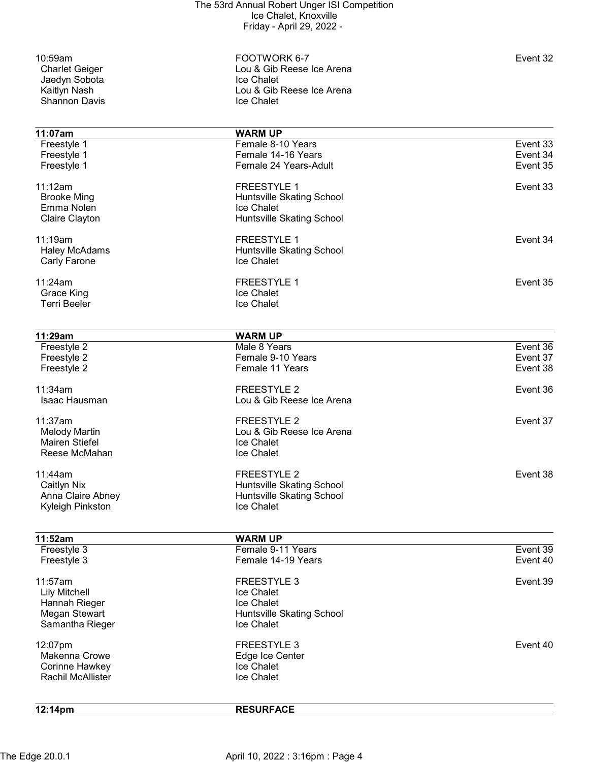Jaedyn Sobota<br>Kaitlyn Nash Shannon Davis

10:59am FOOTWORK 6-7 Event 32 Lou & Gib Reese Ice Arena<br>Ice Chalet Lou & Gib Reese Ice Arena<br>Ice Chalet

| 11:07am                                                       | <b>WARM UP</b>                                                                             |          |
|---------------------------------------------------------------|--------------------------------------------------------------------------------------------|----------|
| Freestyle 1                                                   | Female 8-10 Years                                                                          | Event 33 |
| Freestyle 1                                                   | Female 14-16 Years                                                                         | Event 34 |
| Freestyle 1                                                   | Female 24 Years-Adult                                                                      | Event 35 |
| 11:12am<br><b>Brooke Ming</b><br>Emma Nolen<br>Claire Clayton | <b>FREESTYLE 1</b><br>Huntsville Skating School<br>Ice Chalet<br>Huntsville Skating School | Event 33 |
| 11:19am<br><b>Haley McAdams</b><br>Carly Farone               | <b>FREESTYLE 1</b><br>Huntsville Skating School<br>Ice Chalet                              | Event 34 |
| 11:24am<br>Grace King<br><b>Terri Beeler</b>                  | <b>FREESTYLE 1</b><br><b>Ice Chalet</b><br>Ice Chalet                                      | Event 35 |

| 11:29am                  | <b>WARM UP</b>                   |          |
|--------------------------|----------------------------------|----------|
| Freestyle 2              | Male 8 Years                     | Event 36 |
| Freestyle 2              | Female 9-10 Years                | Event 37 |
| Freestyle 2              | Female 11 Years                  | Event 38 |
| 11:34am                  | <b>FREESTYLE 2</b>               | Event 36 |
| Isaac Hausman            | Lou & Gib Reese Ice Arena        |          |
| 11:37am                  | <b>FREESTYLE 2</b>               | Event 37 |
| <b>Melody Martin</b>     | Lou & Gib Reese Ice Arena        |          |
| <b>Mairen Stiefel</b>    | Ice Chalet                       |          |
| Reese McMahan            | Ice Chalet                       |          |
| 11:44am                  | <b>FREESTYLE 2</b>               | Event 38 |
| <b>Caitlyn Nix</b>       | <b>Huntsville Skating School</b> |          |
| Anna Claire Abney        | Huntsville Skating School        |          |
| Kyleigh Pinkston         | Ice Chalet                       |          |
| 11:52am                  | <b>WARM UP</b>                   |          |
| Freestyle 3              | Female 9-11 Years                | Event 39 |
| Freestyle 3              | Female 14-19 Years               | Event 40 |
| 11:57am                  | <b>FREESTYLE 3</b>               | Event 39 |
| <b>Lily Mitchell</b>     | Ice Chalet                       |          |
| Hannah Rieger            | Ice Chalet                       |          |
| Megan Stewart            | Huntsville Skating School        |          |
| Samantha Rieger          | Ice Chalet                       |          |
| 12:07pm                  | <b>FREESTYLE 3</b>               | Event 40 |
| Makenna Crowe            | Edge Ice Center                  |          |
| Corinne Hawkey           | Ice Chalet                       |          |
| <b>Rachil McAllister</b> | Ice Chalet                       |          |
| 12:14 <sub>pm</sub>      | <b>RESURFACE</b>                 |          |

The Edge 20.0.1 **April 10, 2022 : 3:16pm : Page 4**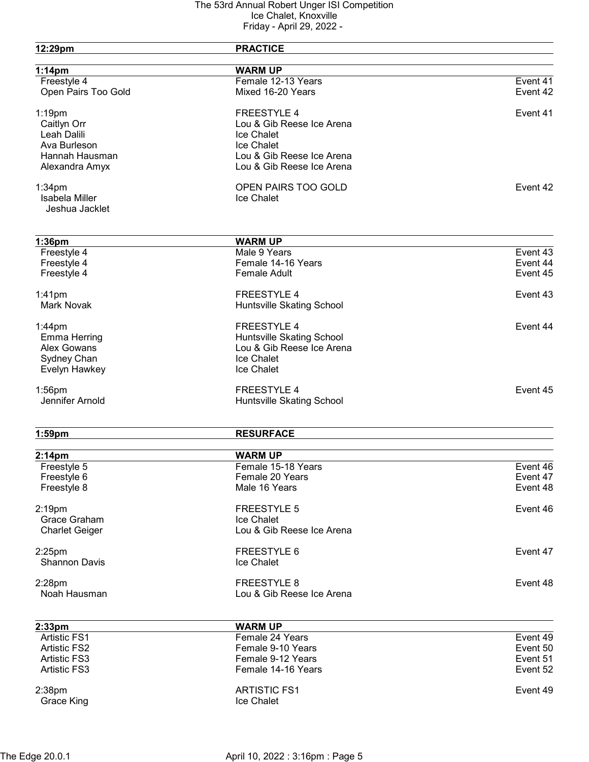| 12:29pm               | <b>PRACTICE</b>           |          |
|-----------------------|---------------------------|----------|
| $1:14$ pm             | <b>WARM UP</b>            |          |
| Freestyle 4           | Female 12-13 Years        | Event 41 |
| Open Pairs Too Gold   | Mixed 16-20 Years         | Event 42 |
| $1:19$ pm             | <b>FREESTYLE 4</b>        | Event 41 |
| Caitlyn Orr           | Lou & Gib Reese Ice Arena |          |
| Leah Dalili           | Ice Chalet                |          |
| Ava Burleson          | <b>Ice Chalet</b>         |          |
| Hannah Hausman        | Lou & Gib Reese Ice Arena |          |
| Alexandra Amyx        | Lou & Gib Reese Ice Arena |          |
| $1:34$ pm             | OPEN PAIRS TOO GOLD       | Event 42 |
| Isabela Miller        | Ice Chalet                |          |
| Jeshua Jacklet        |                           |          |
| $1:36$ pm             | <b>WARM UP</b>            |          |
| Freestyle 4           | Male 9 Years              | Event 43 |
| Freestyle 4           | Female 14-16 Years        | Event 44 |
| Freestyle 4           | <b>Female Adult</b>       | Event 45 |
| $1:41$ pm             | <b>FREESTYLE 4</b>        | Event 43 |
| <b>Mark Novak</b>     | Huntsville Skating School |          |
| $1:44$ pm             | <b>FREESTYLE 4</b>        | Event 44 |
| <b>Emma Herring</b>   | Huntsville Skating School |          |
| <b>Alex Gowans</b>    | Lou & Gib Reese Ice Arena |          |
| Sydney Chan           | Ice Chalet                |          |
| Evelyn Hawkey         | Ice Chalet                |          |
| $1:56$ pm             | <b>FREESTYLE 4</b>        | Event 45 |
| Jennifer Arnold       | Huntsville Skating School |          |
| $1:59$ pm             | <b>RESURFACE</b>          |          |
| 2:14 <sub>pm</sub>    | <b>WARM UP</b>            |          |
| Freestyle 5           | Female 15-18 Years        | Event 46 |
| Freestyle 6           | Female 20 Years           | Event 47 |
| Freestyle 8           | Male 16 Years             | Event 48 |
| 2:19pm                | <b>FREESTYLE 5</b>        | Event 46 |
| Grace Graham          | Ice Chalet                |          |
| <b>Charlet Geiger</b> | Lou & Gib Reese Ice Arena |          |
| $2:25$ pm             | FREESTYLE 6               | Event 47 |
| <b>Shannon Davis</b>  | Ice Chalet                |          |
| $2:28$ pm             | <b>FREESTYLE 8</b>        | Event 48 |
| Noah Hausman          | Lou & Gib Reese Ice Arena |          |
| 2:33pm                | <b>WARM UP</b>            |          |
| <b>Artistic FS1</b>   | Female 24 Years           | Event 49 |
| <b>Artistic FS2</b>   | Female 9-10 Years         | Event 50 |
| <b>Artistic FS3</b>   | Female 9-12 Years         | Event 51 |
| <b>Artistic FS3</b>   | Female 14-16 Years        | Event 52 |
| 2:38pm                | <b>ARTISTIC FS1</b>       | Event 49 |
| Grace King            | Ice Chalet                |          |
|                       |                           |          |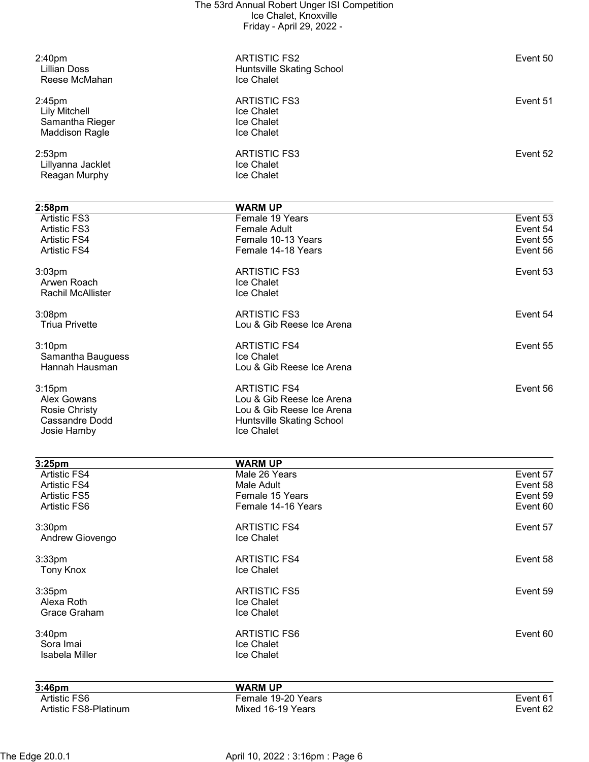| Reagan Murphy         | <b>Ice Chalet</b>         |          |
|-----------------------|---------------------------|----------|
| Lillyanna Jacklet     | <b>Ice Chalet</b>         |          |
| 2:53pm                | <b>ARTISTIC FS3</b>       | Event 52 |
| <b>Maddison Ragle</b> | Ice Chalet                |          |
| Samantha Rieger       | <b>Ice Chalet</b>         |          |
| <b>Lily Mitchell</b>  | <b>Ice Chalet</b>         |          |
| 2:45pm                | <b>ARTISTIC FS3</b>       | Event 51 |
|                       |                           |          |
| Reese McMahan         | Ice Chalet                |          |
| Lillian Doss          | Huntsville Skating School |          |
| 2:40pm                | <b>ARTISTIC FS2</b>       | Event 50 |
|                       |                           |          |

| 2:58 <sub>pm</sub>    | <b>WARM UP</b>            |          |
|-----------------------|---------------------------|----------|
| <b>Artistic FS3</b>   | Female 19 Years           | Event 53 |
| <b>Artistic FS3</b>   | Female Adult              | Event 54 |
| <b>Artistic FS4</b>   | Female 10-13 Years        | Event 55 |
| <b>Artistic FS4</b>   | Female 14-18 Years        | Event 56 |
| 3:03 <sub>pm</sub>    | <b>ARTISTIC FS3</b>       | Event 53 |
| Arwen Roach           | <b>Ice Chalet</b>         |          |
| Rachil McAllister     | Ice Chalet                |          |
| 3:08 <sub>pm</sub>    | <b>ARTISTIC FS3</b>       | Event 54 |
| <b>Triua Privette</b> | Lou & Gib Reese Ice Arena |          |
| 3:10 <sub>pm</sub>    | <b>ARTISTIC FS4</b>       | Event 55 |
| Samantha Bauguess     | Ice Chalet                |          |
| Hannah Hausman        | Lou & Gib Reese Ice Arena |          |
| 3:15 <sub>pm</sub>    | <b>ARTISTIC FS4</b>       | Event 56 |
| Alex Gowans           | Lou & Gib Reese Ice Arena |          |
| <b>Rosie Christy</b>  | Lou & Gib Reese Ice Arena |          |
| Cassandre Dodd        | Huntsville Skating School |          |
| Josie Hamby           | <b>Ice Chalet</b>         |          |

| 3:25 <sub>pm</sub>    | <b>WARM UP</b>      |          |
|-----------------------|---------------------|----------|
| <b>Artistic FS4</b>   | Male 26 Years       | Event 57 |
| <b>Artistic FS4</b>   | Male Adult          | Event 58 |
| <b>Artistic FS5</b>   | Female 15 Years     | Event 59 |
| Artistic FS6          | Female 14-16 Years  | Event 60 |
| 3:30 <sub>pm</sub>    | <b>ARTISTIC FS4</b> | Event 57 |
| Andrew Giovengo       | Ice Chalet          |          |
| $3:33$ pm             | <b>ARTISTIC FS4</b> | Event 58 |
| <b>Tony Knox</b>      | Ice Chalet          |          |
| 3:35 <sub>pm</sub>    | <b>ARTISTIC FS5</b> | Event 59 |
| Alexa Roth            | Ice Chalet          |          |
| Grace Graham          | Ice Chalet          |          |
| 3:40 <sub>pm</sub>    | <b>ARTISTIC FS6</b> | Event 60 |
| Sora Imai             | Ice Chalet          |          |
| Isabela Miller        | Ice Chalet          |          |
| 3:46 <sub>pm</sub>    | <b>WARM UP</b>      |          |
| Artistic FS6          | Female 19-20 Years  | Event 61 |
| Artistic FS8-Platinum | Mixed 16-19 Years   | Event 62 |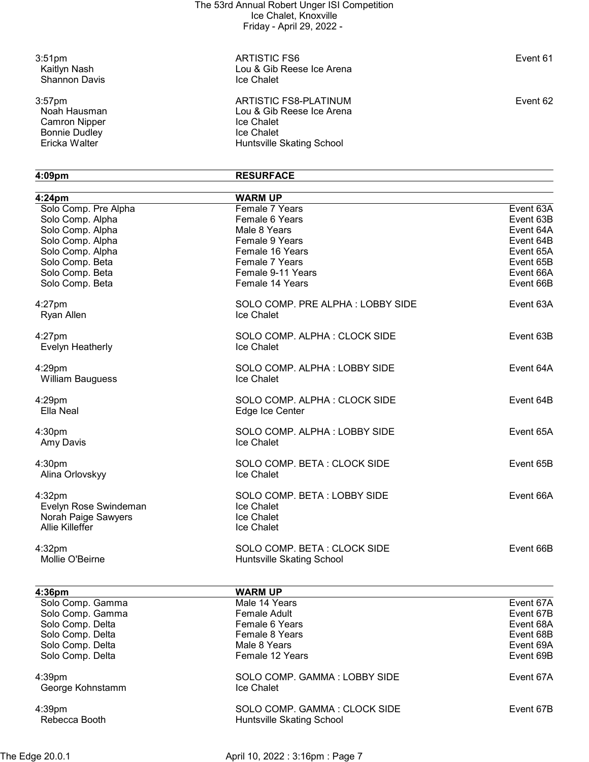Shannon Davis

Noah Hausman<br>
Camron Nipper<br>
Bonnie Dudley<br>
Bonnie Dudley<br>
Ce Chalet<br>
Ice Chalet Bonnie Dudley<br>Ericka Walter

3:51pm ARTISTIC FS6 Event 61 Lou & Gib Reese Ice Arena<br>Ice Chalet

3:57pm **Event 62** ARTISTIC FS8-PLATINUM Lou & Gib Reese Ice Arena<br>Ice Chalet Huntsville Skating School

## 4:09pm RESURFACE

| 4:24 <sub>pm</sub>                                                               | <b>WARM UP</b>                                                        |           |
|----------------------------------------------------------------------------------|-----------------------------------------------------------------------|-----------|
| Solo Comp. Pre Alpha                                                             | Female 7 Years                                                        | Event 63A |
| Solo Comp. Alpha                                                                 | Female 6 Years                                                        | Event 63B |
| Solo Comp. Alpha                                                                 | Male 8 Years                                                          | Event 64A |
| Solo Comp. Alpha                                                                 | Female 9 Years                                                        | Event 64B |
| Solo Comp. Alpha                                                                 | Female 16 Years                                                       | Event 65A |
| Solo Comp. Beta                                                                  | Female 7 Years                                                        | Event 65B |
| Solo Comp. Beta                                                                  | Female 9-11 Years                                                     | Event 66A |
| Solo Comp. Beta                                                                  | Female 14 Years                                                       | Event 66B |
| $4:27$ pm<br>Ryan Allen                                                          | SOLO COMP. PRE ALPHA: LOBBY SIDE<br>Ice Chalet                        | Event 63A |
| $4:27$ pm<br>Evelyn Heatherly                                                    | SOLO COMP. ALPHA: CLOCK SIDE<br>Ice Chalet                            | Event 63B |
| 4:29pm<br><b>William Bauguess</b>                                                | SOLO COMP. ALPHA: LOBBY SIDE<br>Ice Chalet                            | Event 64A |
| $4:29$ pm<br>Ella Neal                                                           | SOLO COMP. ALPHA: CLOCK SIDE<br>Edge Ice Center                       | Event 64B |
| 4:30pm<br>Amy Davis                                                              | SOLO COMP. ALPHA: LOBBY SIDE<br>Ice Chalet                            | Event 65A |
| 4:30pm<br>Alina Orlovskyy                                                        | SOLO COMP. BETA: CLOCK SIDE<br>Ice Chalet                             | Event 65B |
| 4:32pm<br>Evelyn Rose Swindeman<br>Norah Paige Sawyers<br><b>Allie Killeffer</b> | SOLO COMP. BETA: LOBBY SIDE<br>Ice Chalet<br>Ice Chalet<br>Ice Chalet | Event 66A |
| 4:32pm<br>Mollie O'Beirne                                                        | SOLO COMP. BETA: CLOCK SIDE<br>Huntsville Skating School              | Event 66B |
| 4:36pm                                                                           | <b>WARM UP</b>                                                        |           |
| Solo Comp. Gamma                                                                 | Male 14 Years                                                         | Event 67A |
| Solo Comp. Gamma                                                                 | <b>Female Adult</b>                                                   | Event 67B |
| Solo Comp. Delta                                                                 | Female 6 Years                                                        | Event 68A |
| Solo Comp. Delta                                                                 | Female 8 Years                                                        | Event 68B |
| Solo Comp. Delta                                                                 | Male 8 Years                                                          | Event 69A |
| Solo Comp. Delta                                                                 | Female 12 Years                                                       | Event 69B |
| 4:39pm<br>George Kohnstamm                                                       | SOLO COMP. GAMMA: LOBBY SIDE<br>Ice Chalet                            | Event 67A |
| 4:39pm<br>Rebecca Booth                                                          | SOLO COMP. GAMMA: CLOCK SIDE<br>Huntsville Skating School             | Event 67B |
|                                                                                  |                                                                       |           |

The Edge 20.0.1 **April 10, 2022 : 3:16pm : Page 7**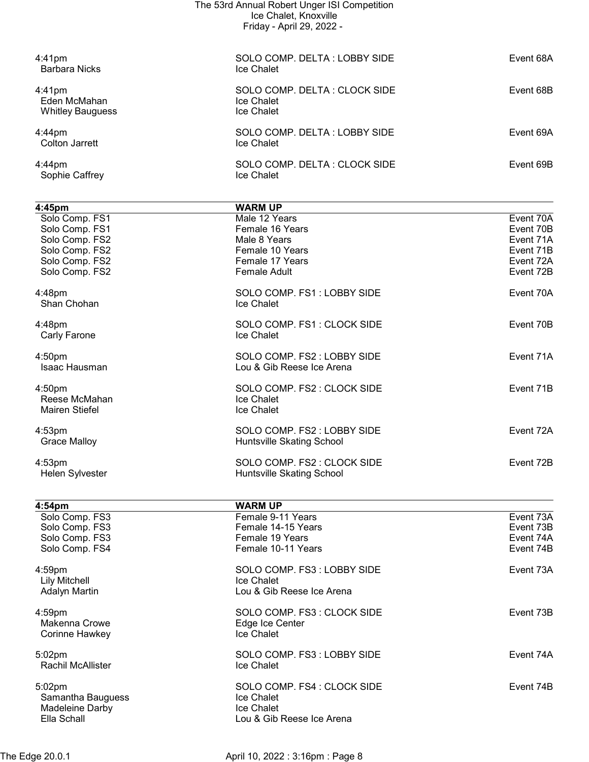| The 53rd Annual Robert Unger ISI Competition<br>Ice Chalet, Knoxville<br>Friday - April 29, 2022 -                 |                                                                                                                                 |                                                                            |
|--------------------------------------------------------------------------------------------------------------------|---------------------------------------------------------------------------------------------------------------------------------|----------------------------------------------------------------------------|
| $4:41$ pm<br><b>Barbara Nicks</b>                                                                                  | SOLO COMP. DELTA: LOBBY SIDE<br>Ice Chalet                                                                                      | Event 68A                                                                  |
| $4:41$ pm<br>Eden McMahan<br><b>Whitley Bauguess</b>                                                               | SOLO COMP. DELTA: CLOCK SIDE<br>Ice Chalet<br>Ice Chalet                                                                        | Event 68B                                                                  |
| $4:44$ pm<br><b>Colton Jarrett</b>                                                                                 | SOLO COMP. DELTA: LOBBY SIDE<br>Ice Chalet                                                                                      | Event 69A                                                                  |
| 4:44pm<br>Sophie Caffrey                                                                                           | SOLO COMP. DELTA: CLOCK SIDE<br>Ice Chalet                                                                                      | Event 69B                                                                  |
| 4:45pm<br>Solo Comp. FS1<br>Solo Comp. FS1<br>Solo Comp. FS2<br>Solo Comp. FS2<br>Solo Comp. FS2<br>Solo Comp. FS2 | <b>WARM UP</b><br>Male 12 Years<br>Female 16 Years<br>Male 8 Years<br>Female 10 Years<br>Female 17 Years<br><b>Female Adult</b> | Event 70A<br>Event 70B<br>Event 71A<br>Event 71B<br>Event 72A<br>Event 72B |
| 4:48pm<br>Shan Chohan                                                                                              | SOLO COMP. FS1: LOBBY SIDE<br>Ice Chalet                                                                                        | Event 70A                                                                  |
| 4:48pm<br>Carly Farone                                                                                             | SOLO COMP. FS1: CLOCK SIDE<br>Ice Chalet                                                                                        | Event 70B                                                                  |
| 4:50pm<br>Isaac Hausman                                                                                            | SOLO COMP. FS2 : LOBBY SIDE<br>Lou & Gib Reese Ice Arena                                                                        | Event 71A                                                                  |
| 4:50 <sub>pm</sub><br>Reese McMahan<br><b>Mairen Stiefel</b>                                                       | SOLO COMP. FS2 : CLOCK SIDE<br>Ice Chalet<br>Ice Chalet                                                                         | Event 71B                                                                  |
| 4:53pm<br><b>Grace Malloy</b>                                                                                      | SOLO COMP. FS2: LOBBY SIDE<br>Huntsville Skating School                                                                         | Event 72A                                                                  |
| 4:53pm<br>Helen Sylvester                                                                                          | SOLO COMP. FS2 : CLOCK SIDE<br>Huntsville Skating School                                                                        | Event 72B                                                                  |
| 4:54pm<br>Solo Comp. FS3<br>Solo Comp. FS3<br>Solo Comp. FS3<br>Solo Comp. FS4                                     | <b>WARM UP</b><br>Female 9-11 Years<br>Female 14-15 Years<br>Female 19 Years<br>Female 10-11 Years                              | Event 73A<br>Event 73B<br>Event 74A<br>Event 74B                           |
| 4:59pm<br><b>Lily Mitchell</b><br><b>Adalyn Martin</b>                                                             | SOLO COMP. FS3: LOBBY SIDE<br>Ice Chalet<br>Lou & Gib Reese Ice Arena                                                           | Event 73A                                                                  |
| 4:59pm<br>Makenna Crowe<br>Corinne Hawkey                                                                          | SOLO COMP. FS3: CLOCK SIDE<br>Edge Ice Center<br>Ice Chalet                                                                     | Event 73B                                                                  |
| 5:02pm<br>Rachil McAllister                                                                                        | SOLO COMP. FS3: LOBBY SIDE<br>Ice Chalet                                                                                        | Event 74A                                                                  |
| 5:02pm                                                                                                             | SOLO COMP. FS4 : CLOCK SIDE                                                                                                     | Event 74B                                                                  |

Samantha Bauguess **In the Samantha Bauguess Ice Chalet** Madeleine Darby **Internal and Contact Chalet** 

The Edge 20.0.1 **April 10, 2022 : 3:16pm : Page 8** 

Lou & Gib Reese Ice Arena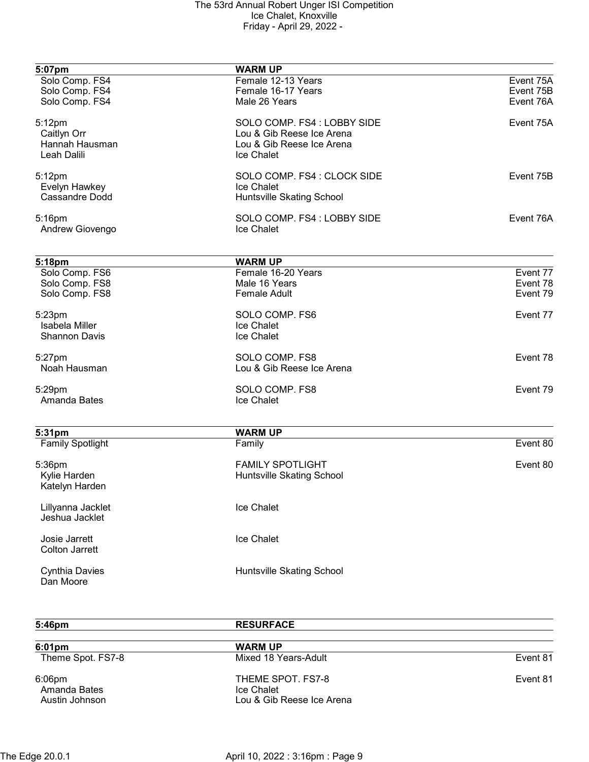| 5:07pm                             | <b>WARM UP</b>                   |           |
|------------------------------------|----------------------------------|-----------|
| Solo Comp. FS4                     | Female 12-13 Years               | Event 75A |
| Solo Comp. FS4                     | Female 16-17 Years               | Event 75B |
| Solo Comp. FS4                     | Male 26 Years                    | Event 76A |
|                                    |                                  |           |
| 5:12pm                             | SOLO COMP. FS4 : LOBBY SIDE      | Event 75A |
| Caitlyn Orr                        | Lou & Gib Reese Ice Arena        |           |
| Hannah Hausman                     | Lou & Gib Reese Ice Arena        |           |
| Leah Dalili                        | Ice Chalet                       |           |
|                                    | SOLO COMP. FS4 : CLOCK SIDE      | Event 75B |
| 5:12pm                             |                                  |           |
| Evelyn Hawkey<br>Cassandre Dodd    | Ice Chalet                       |           |
|                                    | Huntsville Skating School        |           |
| 5:16pm                             | SOLO COMP. FS4 : LOBBY SIDE      | Event 76A |
| Andrew Giovengo                    | Ice Chalet                       |           |
|                                    |                                  |           |
| 5:18pm                             | <b>WARM UP</b>                   |           |
| Solo Comp. FS6                     | Female 16-20 Years               | Event 77  |
| Solo Comp. FS8                     | Male 16 Years                    | Event 78  |
| Solo Comp. FS8                     | <b>Female Adult</b>              | Event 79  |
| 5:23pm                             | SOLO COMP. FS6                   | Event 77  |
| Isabela Miller                     | Ice Chalet                       |           |
|                                    |                                  |           |
| <b>Shannon Davis</b>               | Ice Chalet                       |           |
| 5:27pm                             | SOLO COMP. FS8                   | Event 78  |
| Noah Hausman                       | Lou & Gib Reese Ice Arena        |           |
|                                    |                                  |           |
| 5:29pm                             | SOLO COMP. FS8                   | Event 79  |
| Amanda Bates                       | Ice Chalet                       |           |
|                                    |                                  |           |
| 5:31pm                             | <b>WARM UP</b>                   |           |
| <b>Family Spotlight</b>            | Family                           | Event 80  |
| 5:36pm                             | <b>FAMILY SPOTLIGHT</b>          | Event 80  |
| Kylie Harden                       | <b>Huntsville Skating School</b> |           |
| Katelyn Harden                     |                                  |           |
| Lillyanna Jacklet                  | Ice Chalet                       |           |
| Jeshua Jacklet                     |                                  |           |
|                                    |                                  |           |
| Josie Jarrett                      | Ice Chalet                       |           |
| <b>Colton Jarrett</b>              |                                  |           |
|                                    |                                  |           |
| <b>Cynthia Davies</b><br>Dan Moore | Huntsville Skating School        |           |
|                                    |                                  |           |

| $5:46$ pm                                   | <b>RESURFACE</b>                                             |          |
|---------------------------------------------|--------------------------------------------------------------|----------|
| $6:01 \text{pm}$                            | <b>WARM UP</b>                                               |          |
| Theme Spot. FS7-8                           | Mixed 18 Years-Adult                                         | Event 81 |
| $6:06$ pm<br>Amanda Bates<br>Austin Johnson | THEME SPOT. FS7-8<br>Ice Chalet<br>Lou & Gib Reese Ice Arena | Event 81 |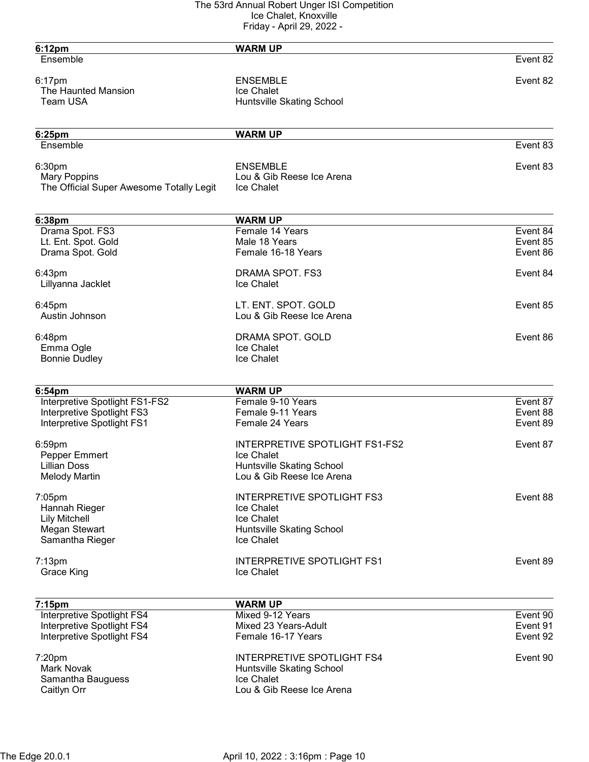| <b>WARM UP</b>                                             |                                                                                                                                                                                                                                                                                                                       |
|------------------------------------------------------------|-----------------------------------------------------------------------------------------------------------------------------------------------------------------------------------------------------------------------------------------------------------------------------------------------------------------------|
|                                                            | Event 82                                                                                                                                                                                                                                                                                                              |
| <b>ENSEMBLE</b><br>Ice Chalet                              | Event 82                                                                                                                                                                                                                                                                                                              |
|                                                            |                                                                                                                                                                                                                                                                                                                       |
| <b>WARM UP</b>                                             |                                                                                                                                                                                                                                                                                                                       |
|                                                            | Event 83                                                                                                                                                                                                                                                                                                              |
| <b>ENSEMBLE</b><br>Lou & Gib Reese Ice Arena<br>Ice Chalet | Event 83                                                                                                                                                                                                                                                                                                              |
| <b>WARM UP</b>                                             |                                                                                                                                                                                                                                                                                                                       |
| Female 14 Years                                            | Event 84                                                                                                                                                                                                                                                                                                              |
|                                                            | Event 85                                                                                                                                                                                                                                                                                                              |
|                                                            | Event 86                                                                                                                                                                                                                                                                                                              |
| DRAMA SPOT. FS3                                            | Event 84                                                                                                                                                                                                                                                                                                              |
| Ice Chalet                                                 |                                                                                                                                                                                                                                                                                                                       |
|                                                            | Event 85                                                                                                                                                                                                                                                                                                              |
| Lou & Gib Reese Ice Arena                                  |                                                                                                                                                                                                                                                                                                                       |
|                                                            | Event 86                                                                                                                                                                                                                                                                                                              |
| Ice Chalet                                                 |                                                                                                                                                                                                                                                                                                                       |
|                                                            |                                                                                                                                                                                                                                                                                                                       |
|                                                            |                                                                                                                                                                                                                                                                                                                       |
| Female 9-10 Years                                          | Event 87                                                                                                                                                                                                                                                                                                              |
| Female 9-11 Years                                          | Event 88                                                                                                                                                                                                                                                                                                              |
| Female 24 Years                                            | Event 89                                                                                                                                                                                                                                                                                                              |
| <b>INTERPRETIVE SPOTLIGHT FS1-FS2</b>                      | Event 87                                                                                                                                                                                                                                                                                                              |
| Ice Chalet                                                 |                                                                                                                                                                                                                                                                                                                       |
|                                                            |                                                                                                                                                                                                                                                                                                                       |
|                                                            |                                                                                                                                                                                                                                                                                                                       |
|                                                            | Event 88                                                                                                                                                                                                                                                                                                              |
|                                                            |                                                                                                                                                                                                                                                                                                                       |
|                                                            |                                                                                                                                                                                                                                                                                                                       |
| Ice Chalet                                                 |                                                                                                                                                                                                                                                                                                                       |
| <b>INTERPRETIVE SPOTLIGHT FS1</b>                          | Event 89                                                                                                                                                                                                                                                                                                              |
| Ice Chalet                                                 |                                                                                                                                                                                                                                                                                                                       |
|                                                            |                                                                                                                                                                                                                                                                                                                       |
| Mixed 9-12 Years                                           | Event 90                                                                                                                                                                                                                                                                                                              |
| Mixed 23 Years-Adult                                       | Event 91                                                                                                                                                                                                                                                                                                              |
| Female 16-17 Years                                         | Event 92                                                                                                                                                                                                                                                                                                              |
|                                                            |                                                                                                                                                                                                                                                                                                                       |
| <b>INTERPRETIVE SPOTLIGHT FS4</b>                          |                                                                                                                                                                                                                                                                                                                       |
| Huntsville Skating School                                  |                                                                                                                                                                                                                                                                                                                       |
| Ice Chalet<br>Lou & Gib Reese Ice Arena                    | Event 90                                                                                                                                                                                                                                                                                                              |
|                                                            | Huntsville Skating School<br>Male 18 Years<br>Female 16-18 Years<br>LT. ENT. SPOT. GOLD<br>DRAMA SPOT. GOLD<br>Ice Chalet<br><b>WARM UP</b><br>Huntsville Skating School<br>Lou & Gib Reese Ice Arena<br><b>INTERPRETIVE SPOTLIGHT FS3</b><br>Ice Chalet<br>Ice Chalet<br>Huntsville Skating School<br><b>WARM UP</b> |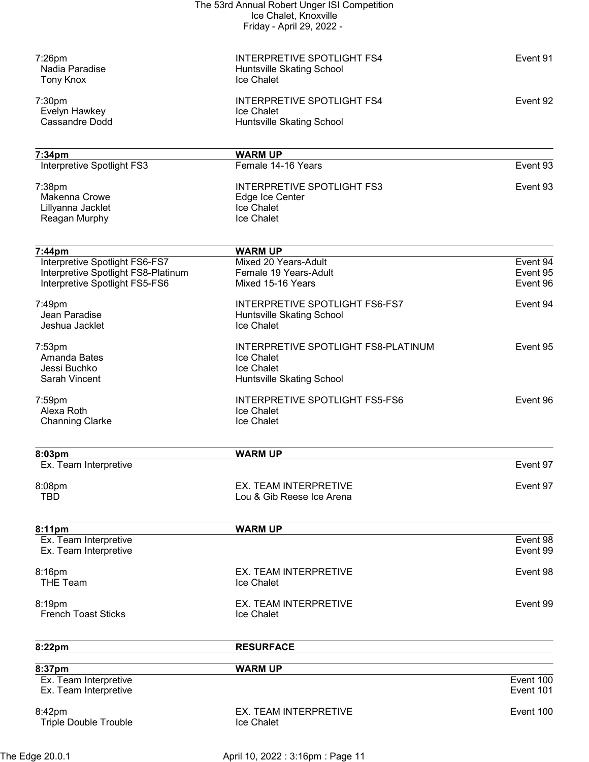|                                          | The 53rd Annual Robert Unger ISI Competition |           |
|------------------------------------------|----------------------------------------------|-----------|
|                                          | Ice Chalet, Knoxville                        |           |
|                                          | Friday - April 29, 2022 -                    |           |
|                                          |                                              |           |
| $7:26$ pm                                | <b>INTERPRETIVE SPOTLIGHT FS4</b>            | Event 91  |
| Nadia Paradise                           | Huntsville Skating School                    |           |
| <b>Tony Knox</b>                         | Ice Chalet                                   |           |
| 7:30pm                                   | INTERPRETIVE SPOTLIGHT FS4                   | Event 92  |
| Evelyn Hawkey                            | Ice Chalet                                   |           |
| Cassandre Dodd                           | <b>Huntsville Skating School</b>             |           |
|                                          |                                              |           |
| 7:34pm                                   | <b>WARM UP</b>                               |           |
| Interpretive Spotlight FS3               | Female 14-16 Years                           | Event 93  |
| 7:38pm                                   | <b>INTERPRETIVE SPOTLIGHT FS3</b>            | Event 93  |
| Makenna Crowe                            | Edge Ice Center                              |           |
| Lillyanna Jacklet                        | Ice Chalet                                   |           |
| Reagan Murphy                            | Ice Chalet                                   |           |
|                                          |                                              |           |
| 7:44pm<br>Interpretive Spotlight FS6-FS7 | <b>WARM UP</b><br>Mixed 20 Years-Adult       | Event 94  |
| Interpretive Spotlight FS8-Platinum      | Female 19 Years-Adult                        | Event 95  |
| Interpretive Spotlight FS5-FS6           | Mixed 15-16 Years                            | Event 96  |
|                                          |                                              |           |
| 7:49pm                                   | INTERPRETIVE SPOTLIGHT FS6-FS7               | Event 94  |
| Jean Paradise                            | Huntsville Skating School                    |           |
| Jeshua Jacklet                           | Ice Chalet                                   |           |
| $7:53$ pm                                | INTERPRETIVE SPOTLIGHT FS8-PLATINUM          | Event 95  |
| Amanda Bates                             | Ice Chalet                                   |           |
| Jessi Buchko                             | Ice Chalet                                   |           |
| Sarah Vincent                            | <b>Huntsville Skating School</b>             |           |
| 7:59pm                                   | <b>INTERPRETIVE SPOTLIGHT FS5-FS6</b>        | Event 96  |
| Alexa Roth                               | Ice Chalet                                   |           |
| <b>Channing Clarke</b>                   | Ice Chalet                                   |           |
|                                          |                                              |           |
| 8:03pm                                   | <b>WARM UP</b>                               |           |
| Ex. Team Interpretive                    |                                              | Event 97  |
| 8:08pm                                   | EX. TEAM INTERPRETIVE                        | Event 97  |
| TBD                                      | Lou & Gib Reese Ice Arena                    |           |
|                                          |                                              |           |
| 8:11pm                                   | <b>WARM UP</b>                               |           |
| Ex. Team Interpretive                    |                                              | Event 98  |
| Ex. Team Interpretive                    |                                              | Event 99  |
| 8:16pm                                   | EX. TEAM INTERPRETIVE                        | Event 98  |
| <b>THE Team</b>                          | Ice Chalet                                   |           |
| 8:19pm                                   | EX. TEAM INTERPRETIVE                        | Event 99  |
| <b>French Toast Sticks</b>               | Ice Chalet                                   |           |
|                                          |                                              |           |
| 8:22pm                                   | <b>RESURFACE</b>                             |           |
|                                          |                                              |           |
| 8:37pm<br>Ex. Team Interpretive          | <b>WARM UP</b>                               | Event 100 |
| Ex. Team Interpretive                    |                                              | Event 101 |
|                                          |                                              |           |
| 8:42pm                                   | EX. TEAM INTERPRETIVE                        | Event 100 |
| <b>Triple Double Trouble</b>             | Ice Chalet                                   |           |
|                                          |                                              |           |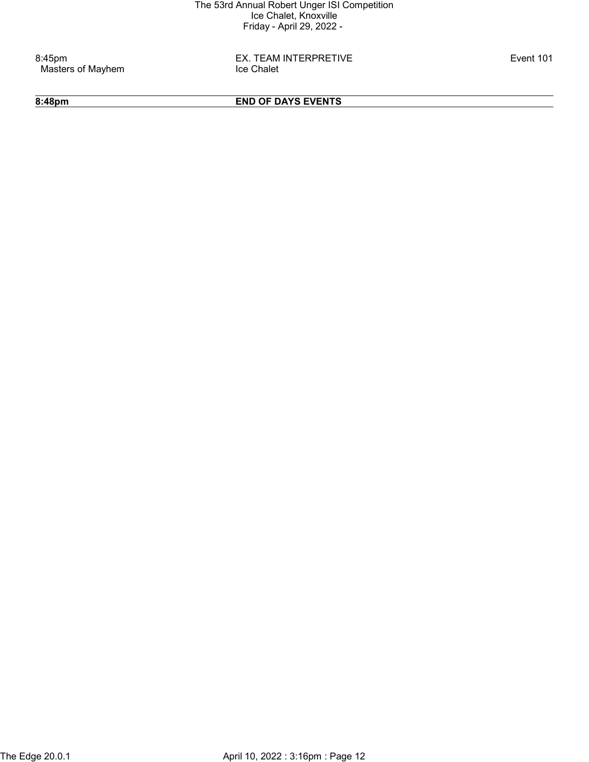Masters of Mayhem

8:45pm EX. TEAM INTERPRETIVE Event 101

# 8:48pm END OF DAYS EVENTS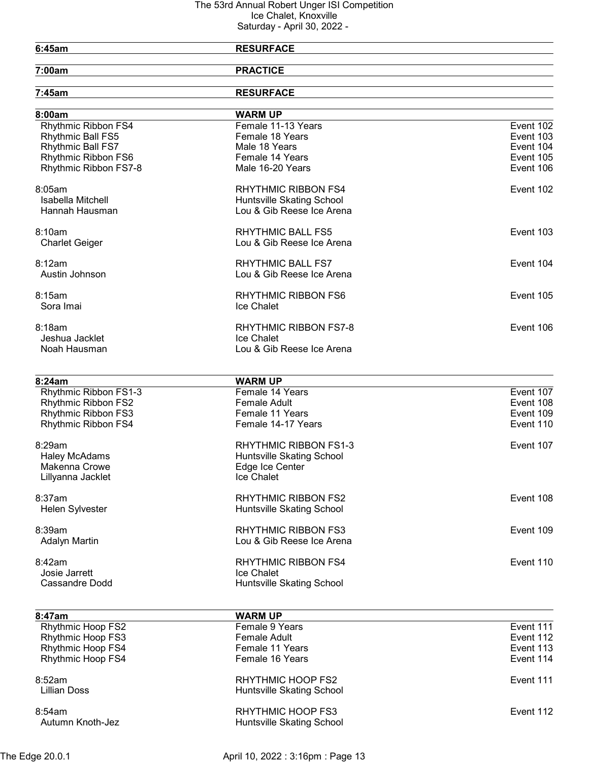### 6:45am RESURFACE

7:00am PRACTICE

| 7:45am                   | <b>RESURFACE</b>             |           |
|--------------------------|------------------------------|-----------|
| 8:00am                   | <b>WARM UP</b>               |           |
| Rhythmic Ribbon FS4      | Female 11-13 Years           | Event 102 |
| Rhythmic Ball FS5        | Female 18 Years              | Event 103 |
| Rhythmic Ball FS7        | Male 18 Years                | Event 104 |
| Rhythmic Ribbon FS6      | Female 14 Years              | Event 105 |
| Rhythmic Ribbon FS7-8    | Male 16-20 Years             | Event 106 |
| 8:05am                   | <b>RHYTHMIC RIBBON FS4</b>   | Event 102 |
| Isabella Mitchell        | Huntsville Skating School    |           |
| Hannah Hausman           | Lou & Gib Reese Ice Arena    |           |
| 8:10am                   | <b>RHYTHMIC BALL FS5</b>     | Event 103 |
| <b>Charlet Geiger</b>    | Lou & Gib Reese Ice Arena    |           |
| 8:12am                   | <b>RHYTHMIC BALL FS7</b>     | Event 104 |
| Austin Johnson           | Lou & Gib Reese Ice Arena    |           |
| 8:15am                   | <b>RHYTHMIC RIBBON FS6</b>   | Event 105 |
| Sora Imai                | Ice Chalet                   |           |
| 8:18am                   | <b>RHYTHMIC RIBBON FS7-8</b> | Event 106 |
| Jeshua Jacklet           | Ice Chalet                   |           |
| Noah Hausman             | Lou & Gib Reese Ice Arena    |           |
| 8:24am                   | <b>WARM UP</b>               |           |
| Rhythmic Ribbon FS1-3    | Female 14 Years              | Event 107 |
| Rhythmic Ribbon FS2      | <b>Female Adult</b>          | Event 108 |
| Rhythmic Ribbon FS3      | Female 11 Years              | Event 109 |
| Rhythmic Ribbon FS4      | Female 14-17 Years           | Event 110 |
| 8:29am                   | RHYTHMIC RIBBON FS1-3        | Event 107 |
| <b>Haley McAdams</b>     | Huntsville Skating School    |           |
| Makenna Crowe            | Edge Ice Center              |           |
| Lillyanna Jacklet        | Ice Chalet                   |           |
| 8:37am                   | <b>RHYTHMIC RIBBON FS2</b>   | Event 108 |
| <b>Helen Sylvester</b>   | Huntsville Skating School    |           |
| 8:39am                   | <b>RHYTHMIC RIBBON FS3</b>   | Event 109 |
| <b>Adalyn Martin</b>     | Lou & Gib Reese Ice Arena    |           |
| 8:42am                   | <b>RHYTHMIC RIBBON FS4</b>   | Event 110 |
| Josie Jarrett            | Ice Chalet                   |           |
| <b>Cassandre Dodd</b>    | Huntsville Skating School    |           |
| 8:47am                   | <b>WARM UP</b>               |           |
| <b>Rhythmic Hoop FS2</b> | Female 9 Years               | Event 111 |

| 0.47 au                    | VYANIVI UF                                     |           |
|----------------------------|------------------------------------------------|-----------|
| <b>Rhythmic Hoop FS2</b>   | Female 9 Years                                 | Event 111 |
| <b>Rhythmic Hoop FS3</b>   | Female Adult                                   | Event 112 |
| <b>Rhythmic Hoop FS4</b>   | Female 11 Years                                | Event 113 |
| <b>Rhythmic Hoop FS4</b>   | Female 16 Years                                | Event 114 |
| 8:52am<br>Lillian Doss     | RHYTHMIC HOOP FS2<br>Huntsville Skating School | Event 111 |
| 8:54am<br>Autumn Knoth-Jez | RHYTHMIC HOOP FS3<br>Huntsville Skating School | Event 112 |
|                            |                                                |           |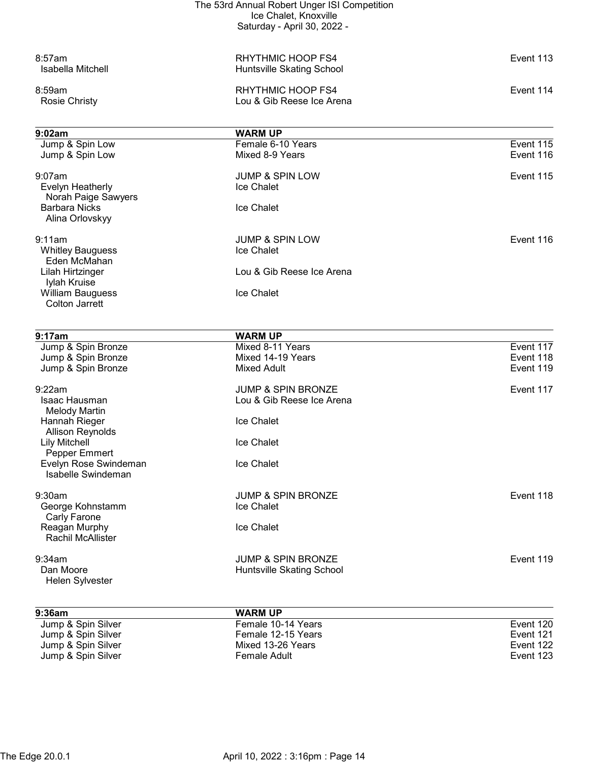|                                          | The 53rd Annual Robert Unger ISI Competition |           |
|------------------------------------------|----------------------------------------------|-----------|
|                                          | Ice Chalet, Knoxville                        |           |
|                                          | Saturday - April 30, 2022 -                  |           |
| 8:57am                                   | <b>RHYTHMIC HOOP FS4</b>                     | Event 113 |
| Isabella Mitchell                        | <b>Huntsville Skating School</b>             |           |
| 8:59am                                   | RHYTHMIC HOOP FS4                            | Event 114 |
| <b>Rosie Christy</b>                     | Lou & Gib Reese Ice Arena                    |           |
| 9:02am                                   | <b>WARM UP</b>                               |           |
| Jump & Spin Low                          | Female 6-10 Years                            | Event 115 |
| Jump & Spin Low                          | Mixed 8-9 Years                              | Event 116 |
| $9:07$ am                                | <b>JUMP &amp; SPIN LOW</b>                   | Event 115 |
| Evelyn Heatherly<br>Norah Paige Sawyers  | <b>Ice Chalet</b>                            |           |
| <b>Barbara Nicks</b><br>Alina Orlovskyy  | Ice Chalet                                   |           |
| 9:11am                                   | <b>JUMP &amp; SPIN LOW</b>                   | Event 116 |
| <b>Whitley Bauguess</b><br>Eden McMahan  | <b>Ice Chalet</b>                            |           |
| Lilah Hirtzinger                         | Lou & Gib Reese Ice Arena                    |           |
| Iylah Kruise<br><b>William Bauguess</b>  | Ice Chalet                                   |           |
| <b>Colton Jarrett</b>                    |                                              |           |
| 9:17am                                   |                                              |           |
| Jump & Spin Bronze                       | <b>WARM UP</b><br>Mixed 8-11 Years           | Event 117 |
| Jump & Spin Bronze                       | Mixed 14-19 Years                            | Event 118 |
| Jump & Spin Bronze                       | <b>Mixed Adult</b>                           | Event 119 |
| 9:22am                                   | <b>JUMP &amp; SPIN BRONZE</b>                | Event 117 |
| Isaac Hausman<br><b>Melody Martin</b>    | Lou & Gib Reese Ice Arena                    |           |
| Hannah Rieger<br><b>Allison Reynolds</b> | Ice Chalet                                   |           |
| <b>Lily Mitchell</b>                     | Ice Chalet                                   |           |
| Pepper Emmert<br>Evelyn Rose Swindeman   | Ice Chalet                                   |           |
| Isabelle Swindeman                       |                                              |           |
| 9:30am                                   | <b>JUMP &amp; SPIN BRONZE</b>                | Event 118 |
| George Kohnstamm<br>Carly Farone         | Ice Chalet                                   |           |
| Reagan Murphy<br>Rachil McAllister       | Ice Chalet                                   |           |
| 9:34am                                   | <b>JUMP &amp; SPIN BRONZE</b>                | Event 119 |
| Dan Moore                                | Huntsville Skating School                    |           |
| Helen Sylvester                          |                                              |           |
| 9:36am                                   | <b>WARM UP</b>                               |           |
| Jump & Spin Silver                       | Female 10-14 Years                           | Event 120 |
| Jump & Spin Silver                       | Female 12-15 Years                           | Event 121 |
| Jump & Spin Silver                       | Mixed 13-26 Years                            | Event 122 |

 Jump & Spin Silver Mixed 13-26 Years Event 122 Jump & Spin Silver Female Adult Event 123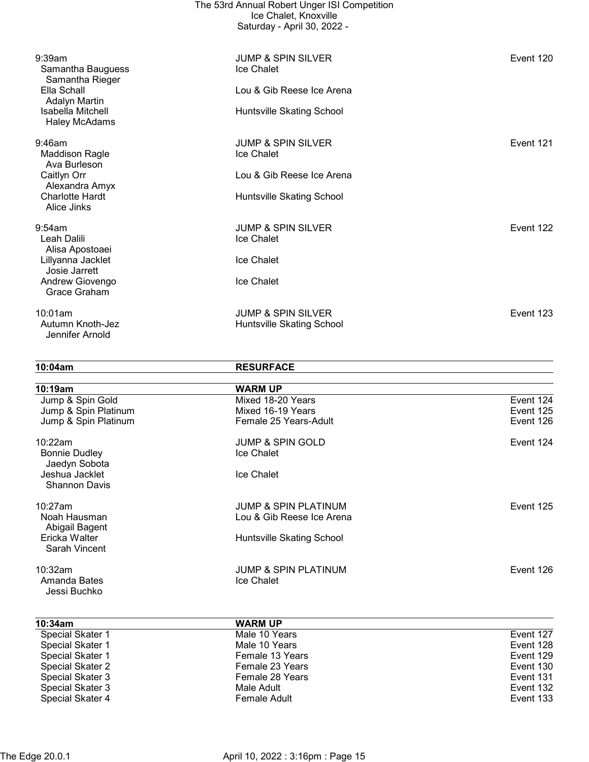|                                                    | The 53rd Annual Robert Unger ISI Competition<br>Ice Chalet, Knoxville<br>Saturday - April 30, 2022 - |           |
|----------------------------------------------------|------------------------------------------------------------------------------------------------------|-----------|
| 9:39am<br>Samantha Bauguess<br>Samantha Rieger     | <b>JUMP &amp; SPIN SILVER</b><br>Ice Chalet                                                          | Event 120 |
| Ella Schall<br>Adalyn Martin                       | Lou & Gib Reese Ice Arena                                                                            |           |
| Isabella Mitchell<br><b>Haley McAdams</b>          | Huntsville Skating School                                                                            |           |
| $9:46$ am<br><b>Maddison Ragle</b><br>Ava Burleson | <b>JUMP &amp; SPIN SILVER</b><br>Ice Chalet                                                          | Event 121 |
| Caitlyn Orr<br>Alexandra Amyx                      | Lou & Gib Reese Ice Arena                                                                            |           |
| <b>Charlotte Hardt</b><br>Alice Jinks              | Huntsville Skating School                                                                            |           |
| 9:54am<br>Leah Dalili<br>Alisa Apostoaei           | <b>JUMP &amp; SPIN SILVER</b><br>Ice Chalet                                                          | Event 122 |
| Lillyanna Jacklet<br>Josie Jarrett                 | Ice Chalet                                                                                           |           |
| Andrew Giovengo<br>Grace Graham                    | Ice Chalet                                                                                           |           |
| 10:01am<br>Autumn Knoth-Jez<br>Jennifer Arnold     | <b>JUMP &amp; SPIN SILVER</b><br>Huntsville Skating School                                           | Event 123 |

10:04am RESURFACE

| 10:19am                               | <b>WARM UP</b>                  |           |
|---------------------------------------|---------------------------------|-----------|
| Jump & Spin Gold                      | Mixed 18-20 Years               | Event 124 |
| Jump & Spin Platinum                  | Mixed 16-19 Years               | Event 125 |
| Jump & Spin Platinum                  | Female 25 Years-Adult           | Event 126 |
| 10:22am                               | <b>JUMP &amp; SPIN GOLD</b>     | Event 124 |
| <b>Bonnie Dudley</b><br>Jaedyn Sobota | Ice Chalet                      |           |
| Jeshua Jacklet                        | Ice Chalet                      |           |
| <b>Shannon Davis</b>                  |                                 |           |
| 10:27am                               | <b>JUMP &amp; SPIN PLATINUM</b> | Event 125 |
| Noah Hausman<br>Abigail Bagent        | Lou & Gib Reese Ice Arena       |           |
| Ericka Walter                         | Huntsville Skating School       |           |
| Sarah Vincent                         |                                 |           |
| 10:32am                               | <b>JUMP &amp; SPIN PLATINUM</b> | Event 126 |
| Amanda Bates<br>Jessi Buchko          | Ice Chalet                      |           |

| 10:34am          | <b>WARM UP</b>  |           |
|------------------|-----------------|-----------|
| Special Skater 1 | Male 10 Years   | Event 127 |
| Special Skater 1 | Male 10 Years   | Event 128 |
| Special Skater 1 | Female 13 Years | Event 129 |
| Special Skater 2 | Female 23 Years | Event 130 |
| Special Skater 3 | Female 28 Years | Event 131 |
| Special Skater 3 | Male Adult      | Event 132 |
| Special Skater 4 | Female Adult    | Event 133 |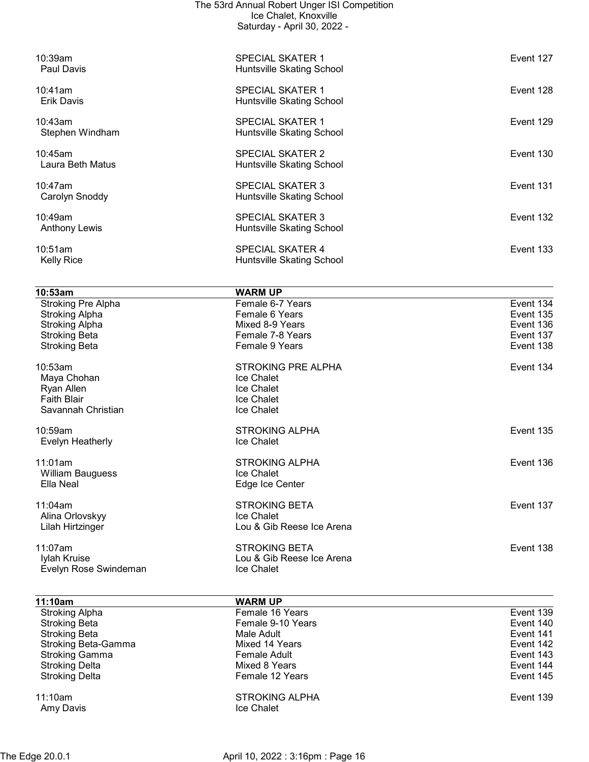| <b>Stroking Delta</b><br><b>Stroking Delta</b> | Mixed 8 Years<br>Female 12 Years                     | Event 144<br>Event 145 |
|------------------------------------------------|------------------------------------------------------|------------------------|
| Stroking Beta-Gamma<br><b>Stroking Gamma</b>   | Mixed 14 Years<br><b>Female Adult</b>                | Event 142<br>Event 143 |
| <b>Stroking Beta</b><br><b>Stroking Beta</b>   | Female 9-10 Years<br>Male Adult                      | Event 140<br>Event 141 |
| <b>Stroking Alpha</b>                          | Female 16 Years                                      | Event 139              |
| 11:10am                                        | <b>WARM UP</b>                                       |                        |
| Evelyn Rose Swindeman                          | Ice Chalet                                           |                        |
| 11:07am<br>Iylah Kruise                        | <b>STROKING BETA</b><br>Lou & Gib Reese Ice Arena    | Event 138              |
| Lilah Hirtzinger                               | Lou & Gib Reese Ice Arena                            |                        |
| 11:04am<br>Alina Orlovskyy                     | <b>STROKING BETA</b><br>Ice Chalet                   | Event 137              |
| <b>William Bauguess</b><br>Ella Neal           | Ice Chalet<br>Edge Ice Center                        |                        |
| 11:01am                                        | <b>STROKING ALPHA</b>                                | Event 136              |
| 10:59am<br>Evelyn Heatherly                    | <b>STROKING ALPHA</b><br>Ice Chalet                  | Event 135              |
| <b>Faith Blair</b><br>Savannah Christian       | Ice Chalet<br>Ice Chalet                             |                        |
| Ryan Allen                                     | Ice Chalet                                           |                        |
| 10:53am<br>Maya Chohan                         | <b>STROKING PRE ALPHA</b><br>Ice Chalet              | Event 134              |
| <b>Stroking Beta</b>                           | Female 9 Years                                       | Event 138              |
| <b>Stroking Alpha</b><br><b>Stroking Beta</b>  | Mixed 8-9 Years<br>Female 7-8 Years                  | Event 136<br>Event 137 |
| Stroking Pre Alpha<br><b>Stroking Alpha</b>    | Female 6-7 Years<br>Female 6 Years                   | Event 134<br>Event 135 |
| 10:53am                                        | <b>WARM UP</b>                                       |                        |
| <b>Kelly Rice</b>                              | Huntsville Skating School                            |                        |
| <b>Anthony Lewis</b><br>10:51am                | Huntsville Skating School<br><b>SPECIAL SKATER 4</b> | Event 133              |
| 10:49am                                        | <b>SPECIAL SKATER 3</b>                              | Event 132              |
| 10:47am<br>Carolyn Snoddy                      | <b>SPECIAL SKATER 3</b><br>Huntsville Skating School | Event 131              |
| 10:45am<br>Laura Beth Matus                    | <b>SPECIAL SKATER 2</b><br>Huntsville Skating School | Event 130              |
| 10:43am<br>Stephen Windham                     | <b>SPECIAL SKATER 1</b><br>Huntsville Skating School | Event 129              |
| 10:41am<br><b>Erik Davis</b>                   | <b>SPECIAL SKATER 1</b><br>Huntsville Skating School | Event 128              |
| 10:39am<br>Paul Davis                          | <b>SPECIAL SKATER 1</b><br>Huntsville Skating School | Event 127              |
|                                                |                                                      |                        |
|                                                | Ice Chalet, Knoxville<br>Saturday - April 30, 2022 - |                        |
|                                                | The 53rd Annual Robert Unger ISI Competition         |                        |

11:10am STROKING ALPHA Event 139 Amy Davis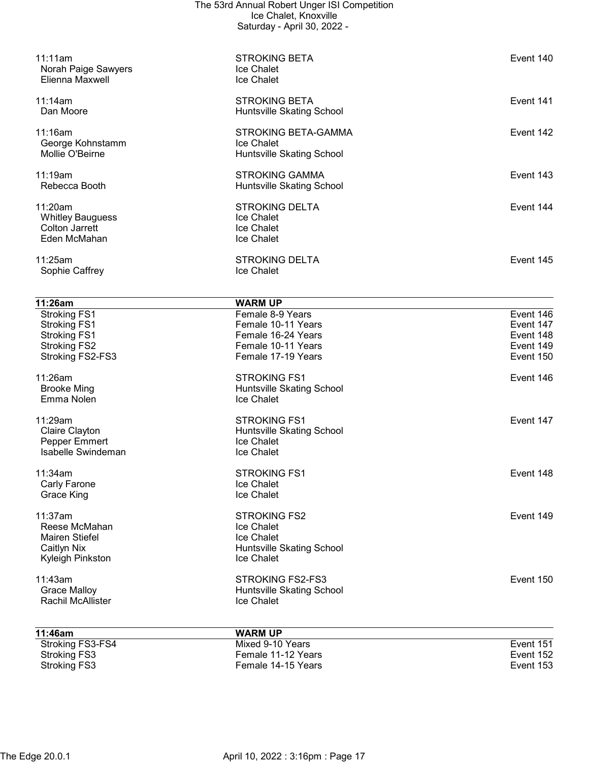| 11:11am<br>Norah Paige Sawyers<br>Elienna Maxwell                                        | <b>STROKING BETA</b><br>Ice Chalet<br>Ice Chalet                                                  | Event 140                                        |
|------------------------------------------------------------------------------------------|---------------------------------------------------------------------------------------------------|--------------------------------------------------|
| 11:14am<br>Dan Moore                                                                     | <b>STROKING BETA</b><br>Huntsville Skating School                                                 | Event 141                                        |
| 11:16am<br>George Kohnstamm<br>Mollie O'Beirne                                           | STROKING BETA-GAMMA<br>Ice Chalet<br>Huntsville Skating School                                    | Event 142                                        |
| 11:19am<br>Rebecca Booth                                                                 | <b>STROKING GAMMA</b><br>Huntsville Skating School                                                | Event 143                                        |
| 11:20am<br><b>Whitley Bauguess</b><br><b>Colton Jarrett</b><br>Eden McMahan              | <b>STROKING DELTA</b><br>Ice Chalet<br>Ice Chalet<br>Ice Chalet                                   | Event 144                                        |
| 11:25am<br>Sophie Caffrey                                                                | <b>STROKING DELTA</b><br>Ice Chalet                                                               | Event 145                                        |
| 11:26am                                                                                  | <b>WARM UP</b>                                                                                    |                                                  |
| <b>Stroking FS1</b><br><b>Stroking FS1</b><br><b>Stroking FS1</b><br><b>Stroking FS2</b> | Female 8-9 Years<br>Female 10-11 Years<br>Female 16-24 Years<br>Female 10-11 Years                | Event 146<br>Event 147<br>Event 148<br>Event 149 |
| Stroking FS2-FS3                                                                         | Female 17-19 Years                                                                                | Event 150                                        |
| 11:26am<br><b>Brooke Ming</b><br>Emma Nolen                                              | <b>STROKING FS1</b><br>Huntsville Skating School<br>Ice Chalet                                    | Event 146                                        |
| 11:29am<br>Claire Clayton<br>Pepper Emmert<br>Isabelle Swindeman                         | <b>STROKING FS1</b><br>Huntsville Skating School<br>Ice Chalet<br>Ice Chalet                      | Event 147                                        |
| 11:34am<br>Carly Farone<br>Grace King                                                    | <b>STROKING FS1</b><br>Ice Chalet<br>Ice Chalet                                                   | Event 148                                        |
| 11:37am<br>Reese McMahan<br>Mairen Stiefel<br>Caitlyn Nix<br>Kyleigh Pinkston            | <b>STROKING FS2</b><br>Ice Chalet<br>Ice Chalet<br>Huntsville Skating School<br><b>Ice Chalet</b> | Event 149                                        |
| 11:43am<br><b>Grace Malloy</b><br><b>Rachil McAllister</b>                               | <b>STROKING FS2-FS3</b><br>Huntsville Skating School<br>Ice Chalet                                | Event 150                                        |
| 11:46am                                                                                  | <b>WARM UP</b>                                                                                    |                                                  |
| Stroking FS3-FS4<br><b>Stroking FS3</b><br><b>Stroking FS3</b>                           | Mixed 9-10 Years<br>Female 11-12 Years<br>Female 14-15 Years                                      | Event 151<br>Event 152<br>Event 153              |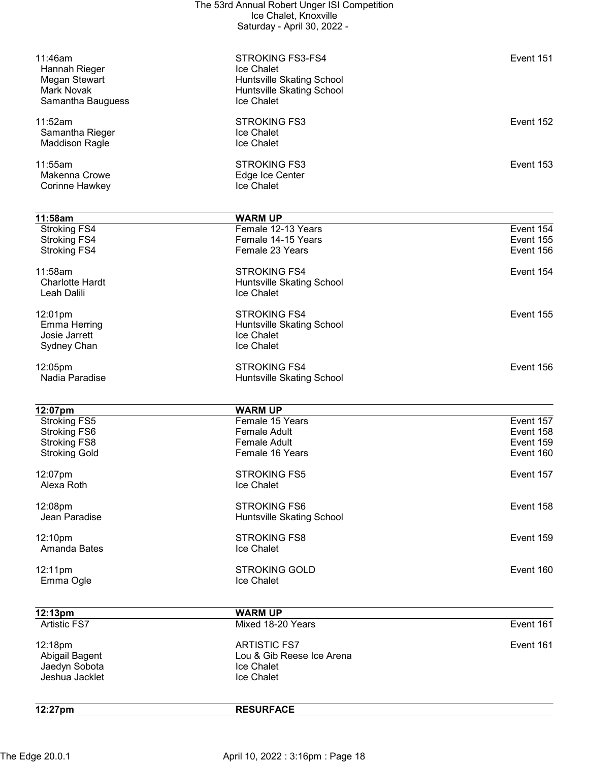| 11:46am<br>Hannah Rieger<br>Megan Stewart<br>Mark Novak<br>Samantha Bauguess | <b>STROKING FS3-FS4</b><br>Ice Chalet<br><b>Huntsville Skating School</b><br>Huntsville Skating School<br>Ice Chalet | Event 151 |
|------------------------------------------------------------------------------|----------------------------------------------------------------------------------------------------------------------|-----------|
| 11:52am<br>Samantha Rieger<br><b>Maddison Ragle</b>                          | <b>STROKING FS3</b><br>Ice Chalet<br>Ice Chalet                                                                      | Event 152 |
| 11:55am<br><b>Makenna Crowe</b><br>Corinne Hawkey                            | <b>STROKING FS3</b><br>Edge Ice Center<br>Ice Chalet                                                                 | Event 153 |
|                                                                              |                                                                                                                      |           |
| 11:58am                                                                      | <b>WARM UP</b>                                                                                                       |           |
| Stroking FS4                                                                 | Female 12-13 Years                                                                                                   | Event 154 |
| <b>Stroking FS4</b>                                                          | Female 14-15 Years                                                                                                   | Event 155 |
| <b>Stroking FS4</b>                                                          | Female 23 Years                                                                                                      | Event 156 |
|                                                                              |                                                                                                                      |           |
| 11:58am                                                                      | <b>STROKING FS4</b>                                                                                                  | Event 154 |
| <b>Charlotte Hardt</b>                                                       | Huntsville Skating School                                                                                            |           |
| Leah Dalili                                                                  | Ice Chalet                                                                                                           |           |
|                                                                              |                                                                                                                      |           |
| 12:01pm                                                                      | <b>STROKING FS4</b>                                                                                                  | Event 155 |
| Emma Herring                                                                 | Huntsville Skating School                                                                                            |           |
| Josie Jarrett                                                                | Ice Chalet                                                                                                           |           |
| Sydney Chan                                                                  | Ice Chalet                                                                                                           |           |
|                                                                              | <b>STROKING FS4</b>                                                                                                  | Event 156 |
| 12:05pm<br>Nadia Paradise                                                    |                                                                                                                      |           |
|                                                                              | Huntsville Skating School                                                                                            |           |
|                                                                              |                                                                                                                      |           |
| 12:07pm                                                                      | <b>WARM UP</b>                                                                                                       |           |
| <b>Stroking FS5</b>                                                          | Female 15 Years                                                                                                      | Event 157 |
| <b>Stroking FS6</b>                                                          | <b>Female Adult</b>                                                                                                  | Event 158 |
| Stroking FS8                                                                 | <b>Female Adult</b>                                                                                                  | Event 159 |
| <b>Stroking Gold</b>                                                         | Female 16 Years                                                                                                      | Event 160 |
|                                                                              |                                                                                                                      |           |
| 12:07pm                                                                      | <b>STROKING FS5</b>                                                                                                  | Event 157 |
| Alexa Roth                                                                   | Ice Chalet                                                                                                           |           |
|                                                                              | <b>STROKING FS6</b>                                                                                                  |           |
| 12:08pm                                                                      |                                                                                                                      | Event 158 |
| Jean Paradise                                                                | Huntsville Skating School                                                                                            |           |
| 12:10pm                                                                      | <b>STROKING FS8</b>                                                                                                  | Event 159 |
| Amanda Bates                                                                 | Ice Chalet                                                                                                           |           |
|                                                                              |                                                                                                                      |           |
| 12:11pm                                                                      | <b>STROKING GOLD</b>                                                                                                 | Event 160 |
| Emma Ogle                                                                    | Ice Chalet                                                                                                           |           |
|                                                                              |                                                                                                                      |           |
|                                                                              |                                                                                                                      |           |
| 12:13pm                                                                      | <b>WARM UP</b>                                                                                                       |           |
| <b>Artistic FS7</b>                                                          | Mixed 18-20 Years                                                                                                    | Event 161 |
|                                                                              |                                                                                                                      |           |
| 12:18pm                                                                      | <b>ARTISTIC FS7</b>                                                                                                  | Event 161 |
| Abigail Bagent                                                               | Lou & Gib Reese Ice Arena                                                                                            |           |
| Jaedyn Sobota                                                                | Ice Chalet                                                                                                           |           |
| Jeshua Jacklet                                                               | Ice Chalet                                                                                                           |           |
|                                                                              |                                                                                                                      |           |
| 12:27pm                                                                      | <b>RESURFACE</b>                                                                                                     |           |
|                                                                              |                                                                                                                      |           |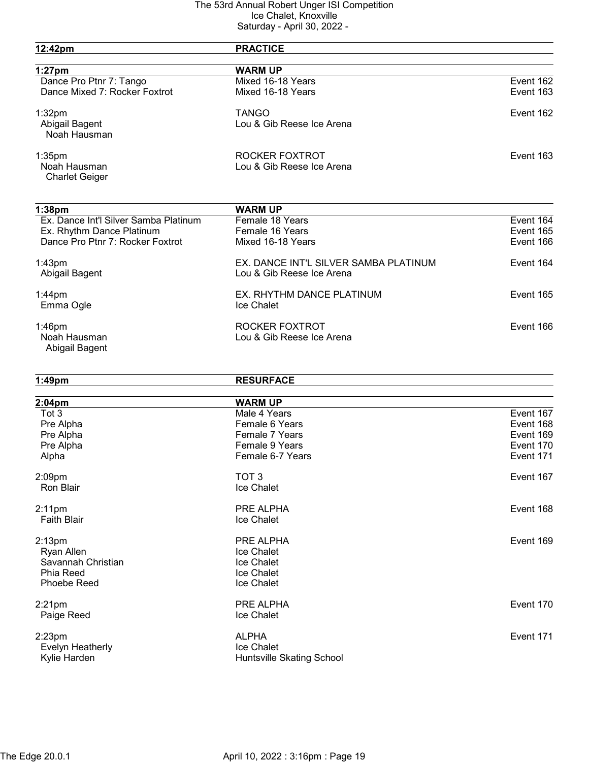|                                       | $1.1$ P $1.11$ VV, LVLL               |           |
|---------------------------------------|---------------------------------------|-----------|
| 12:42pm                               | <b>PRACTICE</b>                       |           |
| $1:27$ pm                             | <b>WARM UP</b>                        |           |
| Dance Pro Ptnr 7: Tango               | Mixed 16-18 Years                     | Event 162 |
| Dance Mixed 7: Rocker Foxtrot         | Mixed 16-18 Years                     | Event 163 |
| 1:32 <sub>pm</sub>                    | <b>TANGO</b>                          | Event 162 |
| Abigail Bagent                        | Lou & Gib Reese Ice Arena             |           |
| Noah Hausman                          |                                       |           |
| $1:35$ pm                             | ROCKER FOXTROT                        | Event 163 |
| Noah Hausman                          | Lou & Gib Reese Ice Arena             |           |
| <b>Charlet Geiger</b>                 |                                       |           |
| 1:38 <sub>pm</sub>                    | <b>WARM UP</b>                        |           |
| Ex. Dance Int'l Silver Samba Platinum | Female 18 Years                       | Event 164 |
| Ex. Rhythm Dance Platinum             | Female 16 Years                       | Event 165 |
| Dance Pro Ptnr 7: Rocker Foxtrot      | Mixed 16-18 Years                     | Event 166 |
| 1:43 <sub>pm</sub>                    | EX. DANCE INT'L SILVER SAMBA PLATINUM | Event 164 |
| Abigail Bagent                        | Lou & Gib Reese Ice Arena             |           |
| $1:44$ pm                             | EX. RHYTHM DANCE PLATINUM             | Event 165 |
| Emma Ogle                             | Ice Chalet                            |           |
| $1:46$ pm                             | ROCKER FOXTROT                        | Event 166 |
| Noah Hausman                          | Lou & Gib Reese Ice Arena             |           |
| Abigail Bagent                        |                                       |           |
| $1:49$ pm                             | <b>RESURFACE</b>                      |           |
| 2:04pm                                | <b>WARM UP</b>                        |           |
| Tot 3                                 | Male 4 Years                          | Event 167 |
| Pre Alpha                             | Female 6 Years                        | Event 168 |
| Pre Alpha                             | Female 7 Years                        | Event 169 |
| Pre Alpha                             | Female 9 Years                        | Event 170 |
| Alpha                                 | Female 6-7 Years                      | Event 171 |
| 2:09pm                                | TOT <sub>3</sub>                      | Event 167 |
| Ron Blair                             | Ice Chalet                            |           |
| $2:11$ pm                             | PRE ALPHA                             | Event 168 |
| <b>Faith Blair</b>                    | Ice Chalet                            |           |
| 2:13 <sub>pm</sub>                    | PRE ALPHA                             | Event 169 |
| Ryan Allen                            | Ice Chalet                            |           |
| Savannah Christian                    | Ice Chalet                            |           |
| Phia Reed                             | Ice Chalet                            |           |
| Phoebe Reed                           | Ice Chalet                            |           |
| $2:21$ pm                             | PRE ALPHA                             | Event 170 |
| Paige Reed                            | Ice Chalet                            |           |
| $2:23$ pm                             | <b>ALPHA</b>                          | Event 171 |
| Evelyn Heatherly                      | Ice Chalet                            |           |
| Kylie Harden                          | Huntsville Skating School             |           |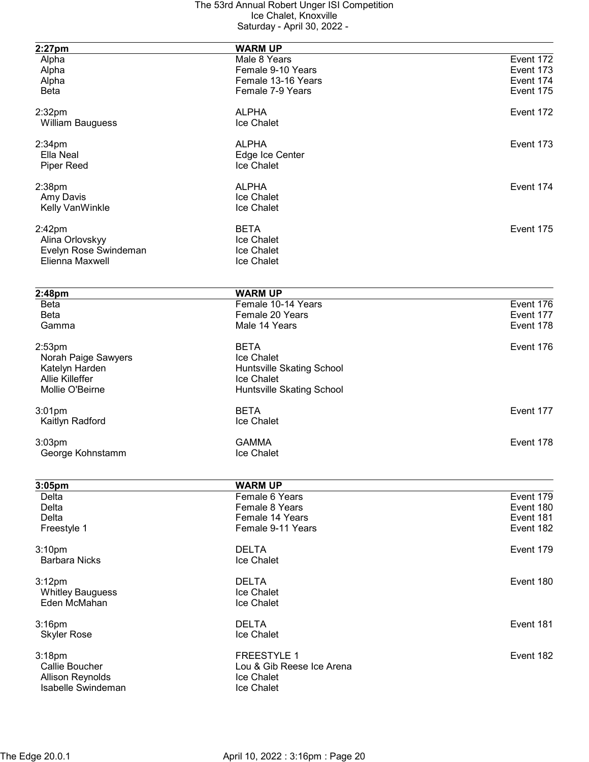| $2:27$ pm                   | <b>WARM UP</b>            |           |
|-----------------------------|---------------------------|-----------|
| Alpha                       | Male 8 Years              | Event 172 |
| Alpha                       | Female 9-10 Years         | Event 173 |
| Alpha                       | Female 13-16 Years        | Event 174 |
| <b>Beta</b>                 | Female 7-9 Years          | Event 175 |
|                             |                           |           |
| 2:32 <sub>pm</sub>          | <b>ALPHA</b>              | Event 172 |
| <b>William Bauguess</b>     | Ice Chalet                |           |
| 2:34 <sub>pm</sub>          | <b>ALPHA</b>              | Event 173 |
| Ella Neal                   | Edge Ice Center           |           |
| <b>Piper Reed</b>           | Ice Chalet                |           |
|                             |                           |           |
| 2:38 <sub>pm</sub>          | <b>ALPHA</b>              | Event 174 |
| Amy Davis                   | Ice Chalet                |           |
| Kelly VanWinkle             | Ice Chalet                |           |
| $2:42$ pm                   | <b>BETA</b>               | Event 175 |
| Alina Orlovskyy             | Ice Chalet                |           |
| Evelyn Rose Swindeman       | Ice Chalet                |           |
| Elienna Maxwell             | Ice Chalet                |           |
|                             |                           |           |
| 2:48pm                      | <b>WARM UP</b>            |           |
| <b>Beta</b>                 | Female 10-14 Years        | Event 176 |
| <b>Beta</b>                 | Female 20 Years           | Event 177 |
| Gamma                       | Male 14 Years             | Event 178 |
|                             |                           |           |
| 2:53 <sub>pm</sub>          | <b>BETA</b>               | Event 176 |
| Norah Paige Sawyers         | Ice Chalet                |           |
| Katelyn Harden              | Huntsville Skating School |           |
| Allie Killeffer             | Ice Chalet                |           |
| Mollie O'Beirne             | Huntsville Skating School |           |
| $3:01$ pm                   | <b>BETA</b>               | Event 177 |
| Kaitlyn Radford             | Ice Chalet                |           |
| 3:03pm                      | <b>GAMMA</b>              | Event 178 |
| George Kohnstamm            | Ice Chalet                |           |
|                             |                           |           |
|                             | <b>WARM UP</b>            |           |
| 3:05 <sub>pm</sub><br>Delta | Female 6 Years            | Event 179 |
| Delta                       | Female 8 Years            | Event 180 |
| Delta                       | Female 14 Years           | Event 181 |
| Freestyle 1                 | Female 9-11 Years         | Event 182 |
|                             |                           |           |
| 3:10 <sub>pm</sub>          | <b>DELTA</b>              | Event 179 |
| <b>Barbara Nicks</b>        | Ice Chalet                |           |
| 3:12pm                      | <b>DELTA</b>              | Event 180 |
| <b>Whitley Bauguess</b>     | Ice Chalet                |           |
| Eden McMahan                | Ice Chalet                |           |
|                             |                           |           |
| $3:16$ pm                   | <b>DELTA</b>              | Event 181 |
| <b>Skyler Rose</b>          | Ice Chalet                |           |
|                             |                           |           |
| 3:18pm                      | <b>FREESTYLE 1</b>        | Event 182 |
| Callie Boucher              | Lou & Gib Reese Ice Arena |           |
| <b>Allison Reynolds</b>     | Ice Chalet                |           |
| Isabelle Swindeman          | Ice Chalet                |           |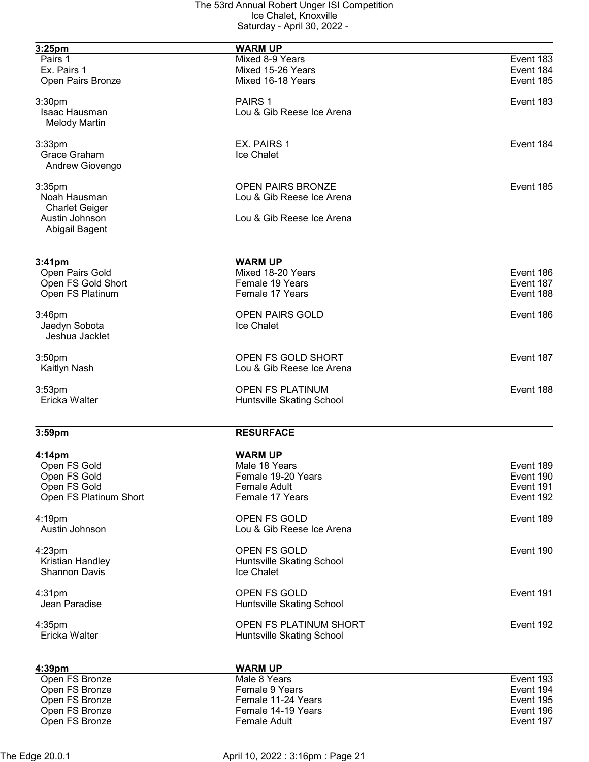| 3:25pm                               | <b>WARM UP</b>                      |                        |
|--------------------------------------|-------------------------------------|------------------------|
| Pairs 1                              | Mixed 8-9 Years                     | Event 183              |
| Ex. Pairs 1                          | Mixed 15-26 Years                   | Event 184              |
| Open Pairs Bronze                    | Mixed 16-18 Years                   | Event 185              |
|                                      |                                     |                        |
| 3:30pm                               | PAIRS 1                             | Event 183              |
| Isaac Hausman                        | Lou & Gib Reese Ice Arena           |                        |
| <b>Melody Martin</b>                 |                                     |                        |
| $3:33$ pm                            | EX. PAIRS 1                         | Event 184              |
| Grace Graham                         | Ice Chalet                          |                        |
| Andrew Giovengo                      |                                     |                        |
|                                      |                                     |                        |
| 3:35 <sub>pm</sub>                   | <b>OPEN PAIRS BRONZE</b>            | Event 185              |
| Noah Hausman                         | Lou & Gib Reese Ice Arena           |                        |
| <b>Charlet Geiger</b>                |                                     |                        |
| Austin Johnson<br>Abigail Bagent     | Lou & Gib Reese Ice Arena           |                        |
|                                      |                                     |                        |
| $3:41$ pm                            | <b>WARM UP</b>                      |                        |
| Open Pairs Gold                      | Mixed 18-20 Years                   | Event 186              |
| Open FS Gold Short                   | Female 19 Years                     | Event 187              |
| Open FS Platinum                     | Female 17 Years                     | Event 188              |
| $3:46$ pm                            | <b>OPEN PAIRS GOLD</b>              | Event 186              |
| Jaedyn Sobota                        | Ice Chalet                          |                        |
| Jeshua Jacklet                       |                                     |                        |
| 3:50 <sub>pm</sub>                   | OPEN FS GOLD SHORT                  | Event 187              |
| Kaitlyn Nash                         | Lou & Gib Reese Ice Arena           |                        |
|                                      |                                     |                        |
| 3:53 <sub>pm</sub>                   | <b>OPEN FS PLATINUM</b>             | Event 188              |
| Ericka Walter                        | Huntsville Skating School           |                        |
| 3:59 <sub>pm</sub>                   | <b>RESURFACE</b>                    |                        |
|                                      |                                     |                        |
| 4:14pm<br>Open FS Gold               | <b>WARM UP</b>                      |                        |
| Open FS Gold                         | Male 18 Years<br>Female 19-20 Years | Event 189<br>Event 190 |
| Open FS Gold                         | <b>Female Adult</b>                 | Event 191              |
| Open FS Platinum Short               | Female 17 Years                     | Event 192              |
|                                      |                                     |                        |
| $4:19$ pm                            | OPEN FS GOLD                        | Event 189              |
| Austin Johnson                       | Lou & Gib Reese Ice Arena           |                        |
| 4:23pm                               | OPEN FS GOLD                        | Event 190              |
| Kristian Handley                     | Huntsville Skating School           |                        |
| <b>Shannon Davis</b>                 | Ice Chalet                          |                        |
| 4:31pm                               | OPEN FS GOLD                        | Event 191              |
| Jean Paradise                        | Huntsville Skating School           |                        |
|                                      |                                     |                        |
| 4:35pm                               | OPEN FS PLATINUM SHORT              | Event 192              |
| Ericka Walter                        | Huntsville Skating School           |                        |
|                                      |                                     |                        |
| 4:39 <sub>pm</sub><br>Open FS Bronze | <b>WARM UP</b><br>Male 8 Years      | Event 193              |
| Open FS Bronze                       | Female 9 Years                      | Event 194              |
| Open FS Bronze                       | Female 11-24 Years                  | Event 195              |
| Open FS Bronze                       | Female 14-19 Years                  | Event 196              |
| Open FS Bronze                       | Female Adult                        | Event 197              |
|                                      |                                     |                        |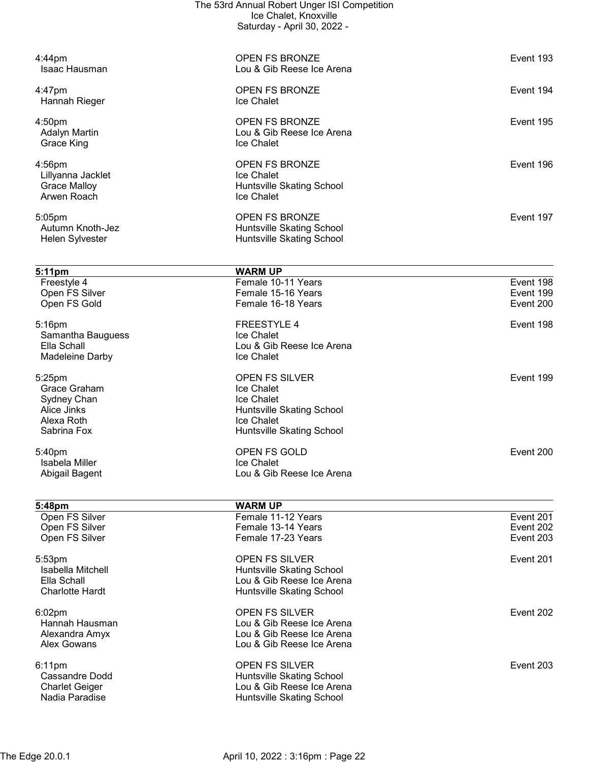|                                         | The 53rd Annual Robert Unger ISI Competition           |                        |
|-----------------------------------------|--------------------------------------------------------|------------------------|
|                                         | Ice Chalet, Knoxville<br>Saturday - April 30, 2022 -   |                        |
|                                         |                                                        |                        |
|                                         |                                                        |                        |
| 4:44pm<br>Isaac Hausman                 | <b>OPEN FS BRONZE</b><br>Lou & Gib Reese Ice Arena     | Event 193              |
|                                         |                                                        |                        |
| 4:47pm                                  | OPEN FS BRONZE                                         | Event 194              |
| Hannah Rieger                           | Ice Chalet                                             |                        |
| 4:50pm                                  | <b>OPEN FS BRONZE</b>                                  | Event 195              |
| <b>Adalyn Martin</b>                    | Lou & Gib Reese Ice Arena                              |                        |
| Grace King                              | Ice Chalet                                             |                        |
| $4:56$ pm                               | <b>OPEN FS BRONZE</b>                                  | Event 196              |
| Lillyanna Jacklet                       | Ice Chalet                                             |                        |
| <b>Grace Malloy</b>                     | Huntsville Skating School                              |                        |
| Arwen Roach                             | Ice Chalet                                             |                        |
| 5:05pm                                  | <b>OPEN FS BRONZE</b>                                  | Event 197              |
| Autumn Knoth-Jez                        | Huntsville Skating School                              |                        |
| Helen Sylvester                         | <b>Huntsville Skating School</b>                       |                        |
|                                         |                                                        |                        |
| 5:11pm                                  | <b>WARM UP</b>                                         |                        |
| Freestyle 4<br>Open FS Silver           | Female 10-11 Years<br>Female 15-16 Years               | Event 198<br>Event 199 |
| Open FS Gold                            | Female 16-18 Years                                     | Event 200              |
|                                         |                                                        |                        |
| $5:16$ pm<br>Samantha Bauguess          | <b>FREESTYLE 4</b><br>Ice Chalet                       | Event 198              |
| Ella Schall                             | Lou & Gib Reese Ice Arena                              |                        |
| Madeleine Darby                         | Ice Chalet                                             |                        |
| 5:25pm                                  | <b>OPEN FS SILVER</b>                                  | Event 199              |
| Grace Graham                            | Ice Chalet                                             |                        |
| Sydney Chan                             | Ice Chalet                                             |                        |
| Alice Jinks                             | Huntsville Skating School                              |                        |
| Alexa Roth                              | Ice Chalet                                             |                        |
| Sabrina Fox                             | Huntsville Skating School                              |                        |
| 5:40pm                                  | OPEN FS GOLD                                           | Event 200              |
| Isabela Miller                          | Ice Chalet                                             |                        |
| Abigail Bagent                          | Lou & Gib Reese Ice Arena                              |                        |
|                                         |                                                        |                        |
| 5:48pm<br>Open FS Silver                | <b>WARM UP</b><br>Female 11-12 Years                   | Event 201              |
| Open FS Silver                          | Female 13-14 Years                                     | Event 202              |
| Open FS Silver                          | Female 17-23 Years                                     | Event 203              |
| 5:53pm                                  | <b>OPEN FS SILVER</b>                                  | Event 201              |
| Isabella Mitchell                       | Huntsville Skating School                              |                        |
| Ella Schall                             | Lou & Gib Reese Ice Arena                              |                        |
| <b>Charlotte Hardt</b>                  | Huntsville Skating School                              |                        |
| 6:02pm                                  | <b>OPEN FS SILVER</b>                                  | Event 202              |
| Hannah Hausman                          | Lou & Gib Reese Ice Arena                              |                        |
| Alexandra Amyx                          | Lou & Gib Reese Ice Arena                              |                        |
| <b>Alex Gowans</b>                      | Lou & Gib Reese Ice Arena                              |                        |
| 6:11pm                                  | <b>OPEN FS SILVER</b>                                  | Event 203              |
| Cassandre Dodd                          | Huntsville Skating School                              |                        |
| <b>Charlet Geiger</b><br>Nadia Paradise | Lou & Gib Reese Ice Arena<br>Huntsville Skating School |                        |
|                                         |                                                        |                        |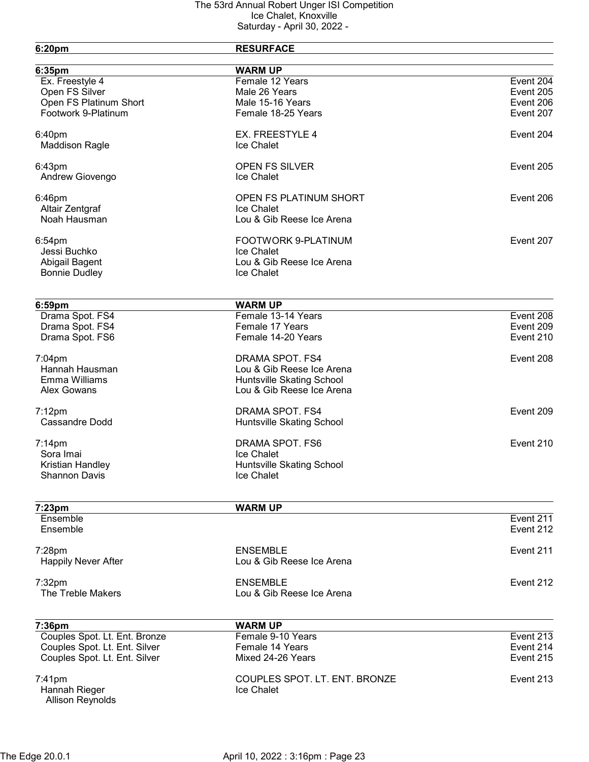| 6:20pm                                        | <b>RESURFACE</b>                       |                        |
|-----------------------------------------------|----------------------------------------|------------------------|
|                                               |                                        |                        |
| 6:35pm                                        | <b>WARM UP</b><br>Female 12 Years      |                        |
| Ex. Freestyle 4<br>Open FS Silver             | Male 26 Years                          | Event 204<br>Event 205 |
|                                               |                                        |                        |
| Open FS Platinum Short<br>Footwork 9-Platinum | Male 15-16 Years<br>Female 18-25 Years | Event 206<br>Event 207 |
|                                               |                                        |                        |
| 6:40pm                                        | EX. FREESTYLE 4                        | Event 204              |
| <b>Maddison Ragle</b>                         | Ice Chalet                             |                        |
| 6:43pm                                        | <b>OPEN FS SILVER</b>                  | Event 205              |
| Andrew Giovengo                               | Ice Chalet                             |                        |
| 6:46pm                                        | <b>OPEN FS PLATINUM SHORT</b>          | Event 206              |
| Altair Zentgraf                               | Ice Chalet                             |                        |
| Noah Hausman                                  | Lou & Gib Reese Ice Arena              |                        |
| 6:54pm                                        | FOOTWORK 9-PLATINUM                    | Event 207              |
| Jessi Buchko                                  | Ice Chalet                             |                        |
| Abigail Bagent                                | Lou & Gib Reese Ice Arena              |                        |
| <b>Bonnie Dudley</b>                          | Ice Chalet                             |                        |
|                                               |                                        |                        |
| 6:59pm                                        | <b>WARM UP</b>                         |                        |
| Drama Spot. FS4                               | Female 13-14 Years                     | Event 208              |
| Drama Spot. FS4                               | Female 17 Years                        | Event 209              |
| Drama Spot. FS6                               | Female 14-20 Years                     | Event 210              |
| $7:04$ pm                                     | DRAMA SPOT. FS4                        | Event 208              |
| Hannah Hausman                                | Lou & Gib Reese Ice Arena              |                        |
| Emma Williams                                 | Huntsville Skating School              |                        |
| <b>Alex Gowans</b>                            | Lou & Gib Reese Ice Arena              |                        |
|                                               |                                        |                        |
| $7:12$ pm                                     | DRAMA SPOT. FS4                        | Event 209              |
| <b>Cassandre Dodd</b>                         | Huntsville Skating School              |                        |
| $7:14$ pm                                     | DRAMA SPOT. FS6                        | Event 210              |
| Sora Imai                                     | Ice Chalet                             |                        |
| Kristian Handley                              | Huntsville Skating School              |                        |
| <b>Shannon Davis</b>                          | Ice Chalet                             |                        |
|                                               |                                        |                        |
| 7:23pm<br>Ensemble                            | <b>WARM UP</b>                         | Event 211              |
| Ensemble                                      |                                        | Event 212              |
|                                               |                                        |                        |
| 7:28pm                                        | <b>ENSEMBLE</b>                        | Event 211              |
| <b>Happily Never After</b>                    | Lou & Gib Reese Ice Arena              |                        |
| 7:32pm                                        | <b>ENSEMBLE</b>                        | Event 212              |
| The Treble Makers                             | Lou & Gib Reese Ice Arena              |                        |
|                                               |                                        |                        |
| 7:36pm<br>Couples Spot. Lt. Ent. Bronze       | <b>WARM UP</b><br>Female 9-10 Years    | Event 213              |
| Couples Spot. Lt. Ent. Silver                 | Female 14 Years                        | Event 214              |
| Couples Spot. Lt. Ent. Silver                 | Mixed 24-26 Years                      | Event 215              |
|                                               |                                        |                        |
| 7:41pm                                        | COUPLES SPOT. LT. ENT. BRONZE          | Event 213              |
| Hannah Rieger                                 | Ice Chalet                             |                        |
| <b>Allison Reynolds</b>                       |                                        |                        |
|                                               |                                        |                        |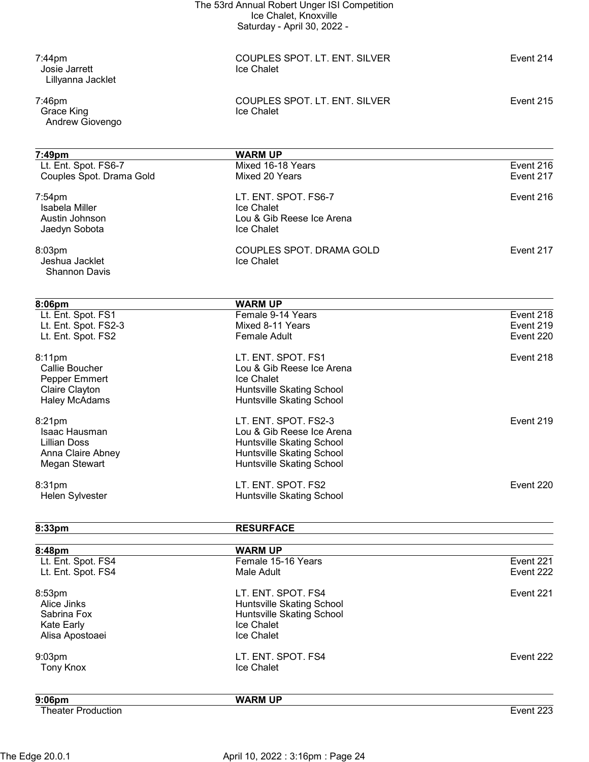|                              | The 53rd Annual Robert Unger ISI Competition |           |
|------------------------------|----------------------------------------------|-----------|
|                              | Ice Chalet, Knoxville                        |           |
|                              | Saturday - April 30, 2022 -                  |           |
| $7:44$ pm                    | COUPLES SPOT. LT. ENT. SILVER                | Event 214 |
| Josie Jarrett                | Ice Chalet                                   |           |
| Lillyanna Jacklet            |                                              |           |
| $7:46$ pm                    | COUPLES SPOT. LT. ENT. SILVER                | Event 215 |
| Grace King                   | Ice Chalet                                   |           |
| Andrew Giovengo              |                                              |           |
| 7:49pm                       | <b>WARM UP</b>                               |           |
| Lt. Ent. Spot. FS6-7         | Mixed 16-18 Years                            | Event 216 |
| Couples Spot. Drama Gold     | Mixed 20 Years                               | Event 217 |
| $7:54$ pm                    | LT. ENT. SPOT. FS6-7                         | Event 216 |
| Isabela Miller               | Ice Chalet                                   |           |
| Austin Johnson               | Lou & Gib Reese Ice Arena                    |           |
| Jaedyn Sobota                | Ice Chalet                                   |           |
| 8:03pm                       | COUPLES SPOT. DRAMA GOLD                     | Event 217 |
| Jeshua Jacklet               | Ice Chalet                                   |           |
| <b>Shannon Davis</b>         |                                              |           |
|                              |                                              |           |
| 8:06pm<br>Lt. Ent. Spot. FS1 | <b>WARM UP</b><br>Female 9-14 Years          | Event 218 |
| Lt. Ent. Spot. FS2-3         | Mixed 8-11 Years                             | Event 219 |
| Lt. Ent. Spot. FS2           | <b>Female Adult</b>                          | Event 220 |
| 8:11pm                       | LT. ENT. SPOT. FS1                           | Event 218 |
| Callie Boucher               | Lou & Gib Reese Ice Arena                    |           |
| Pepper Emmert                | Ice Chalet                                   |           |
| Claire Clayton               | <b>Huntsville Skating School</b>             |           |
| <b>Haley McAdams</b>         | Huntsville Skating School                    |           |
| 8:21pm                       | LT. ENT. SPOT. FS2-3                         | Event 219 |
| Isaac Hausman                | Lou & Gib Reese Ice Arena                    |           |
| <b>Lillian Doss</b>          | <b>Huntsville Skating School</b>             |           |
| Anna Claire Abney            | <b>Huntsville Skating School</b>             |           |
| Megan Stewart                | Huntsville Skating School                    |           |
| 8:31pm                       | LT. ENT. SPOT. FS2                           | Event 220 |
| Helen Sylvester              | Huntsville Skating School                    |           |
| 8:33pm                       | <b>RESURFACE</b>                             |           |
|                              |                                              |           |
| 8:48pm<br>Lt. Ent. Spot. FS4 | <b>WARM UP</b><br>Female 15-16 Years         | Event 221 |
| Lt. Ent. Spot. FS4           | Male Adult                                   | Event 222 |
| 8:53pm                       | LT. ENT. SPOT. FS4                           | Event 221 |
| Alice Jinks                  | Huntsville Skating School                    |           |
| Sabrina Fox                  | Huntsville Skating School                    |           |
| Kate Early                   | Ice Chalet                                   |           |
| Alisa Apostoaei              | Ice Chalet                                   |           |
| 9:03pm                       | LT. ENT. SPOT. FS4                           | Event 222 |
| <b>Tony Knox</b>             | Ice Chalet                                   |           |
|                              |                                              |           |

9:06pm WARM UP

Theater Production Event 223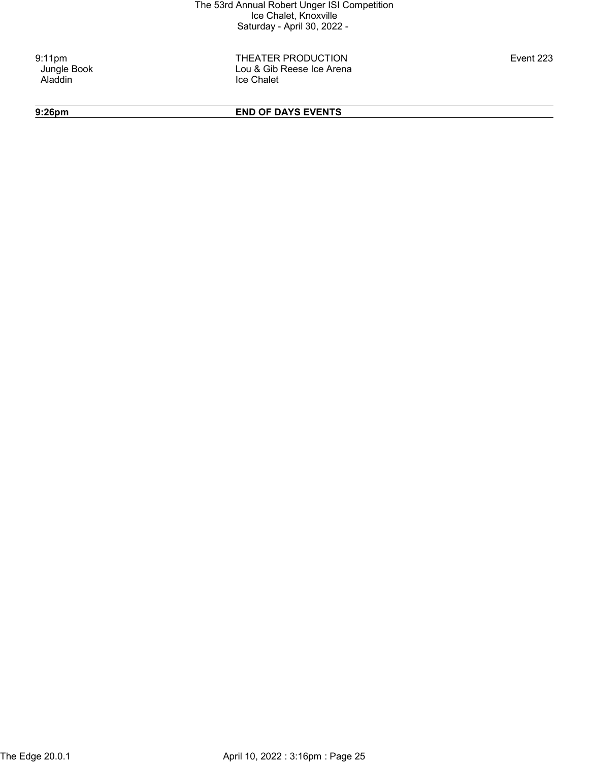9:11pm THEATER PRODUCTION Event 223 Jungle Book **Lou & Gib Reese Ice Arena**<br>Aladdin **Aladdin** Ice Chalet

9:26pm END OF DAYS EVENTS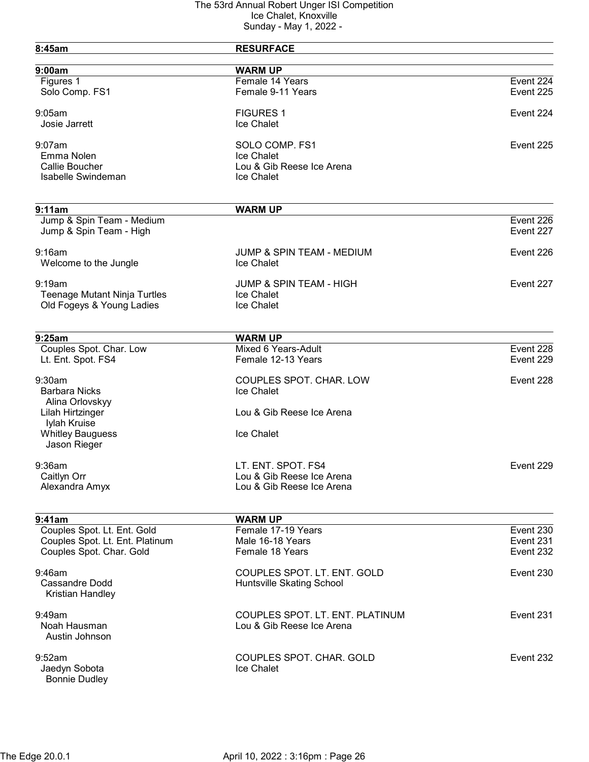| 8:45am                                               | <b>RESURFACE</b>                     |                         |
|------------------------------------------------------|--------------------------------------|-------------------------|
| 9:00am                                               | <b>WARM UP</b>                       |                         |
| Figures 1                                            | Female 14 Years                      | Event 224               |
| Solo Comp. FS1                                       | Female 9-11 Years                    | Event 225               |
| 9:05am                                               | <b>FIGURES 1</b>                     | Event 224               |
| Josie Jarrett                                        | Ice Chalet                           |                         |
| $9:07$ am                                            | SOLO COMP. FS1                       | Event 225               |
| Emma Nolen                                           | Ice Chalet                           |                         |
| Callie Boucher                                       | Lou & Gib Reese Ice Arena            |                         |
| <b>Isabelle Swindeman</b>                            | Ice Chalet                           |                         |
| 9:11am                                               | <b>WARM UP</b>                       |                         |
|                                                      |                                      | $\overline{E}$ vent 226 |
| Jump & Spin Team - Medium<br>Jump & Spin Team - High |                                      | Event 227               |
| 9:16am                                               | <b>JUMP &amp; SPIN TEAM - MEDIUM</b> | Event 226               |
| Welcome to the Jungle                                | Ice Chalet                           |                         |
| 9:19am                                               | <b>JUMP &amp; SPIN TEAM - HIGH</b>   | Event 227               |
| <b>Teenage Mutant Ninja Turtles</b>                  | Ice Chalet                           |                         |
| Old Fogeys & Young Ladies                            | Ice Chalet                           |                         |
| 9:25am                                               | <b>WARM UP</b>                       |                         |
| Couples Spot. Char. Low                              | Mixed 6 Years-Adult                  | Event 228               |
| Lt. Ent. Spot. FS4                                   | Female 12-13 Years                   | Event 229               |
| 9:30am                                               | COUPLES SPOT. CHAR. LOW              | Event 228               |
| <b>Barbara Nicks</b>                                 | Ice Chalet                           |                         |
| Alina Orlovskyy<br>Lilah Hirtzinger                  | Lou & Gib Reese Ice Arena            |                         |
| Iylah Kruise                                         |                                      |                         |
| <b>Whitley Bauguess</b>                              | Ice Chalet                           |                         |
| Jason Rieger                                         |                                      |                         |
| $9:36$ am                                            | LT. ENT. SPOT. FS4                   | Event 229               |
| Caitlyn Orr                                          | Lou & Gib Reese Ice Arena            |                         |
| Alexandra Amyx                                       | Lou & Gib Reese Ice Arena            |                         |
| 9:41am                                               | <b>WARM UP</b>                       |                         |
| Couples Spot. Lt. Ent. Gold                          | Female 17-19 Years                   | Event 230               |
| Couples Spot. Lt. Ent. Platinum                      | Male 16-18 Years                     | Event 231               |
| Couples Spot. Char. Gold                             | Female 18 Years                      | Event 232               |
| $9:46$ am                                            | COUPLES SPOT. LT. ENT. GOLD          | Event 230               |
| Cassandre Dodd<br>Kristian Handley                   | Huntsville Skating School            |                         |
| $9:49$ am                                            | COUPLES SPOT. LT. ENT. PLATINUM      | Event 231               |
| Noah Hausman<br>Austin Johnson                       | Lou & Gib Reese Ice Arena            |                         |
| 9:52am                                               | COUPLES SPOT. CHAR. GOLD             | Event 232               |
| Jaedyn Sobota                                        | Ice Chalet                           |                         |
| <b>Bonnie Dudley</b>                                 |                                      |                         |
|                                                      |                                      |                         |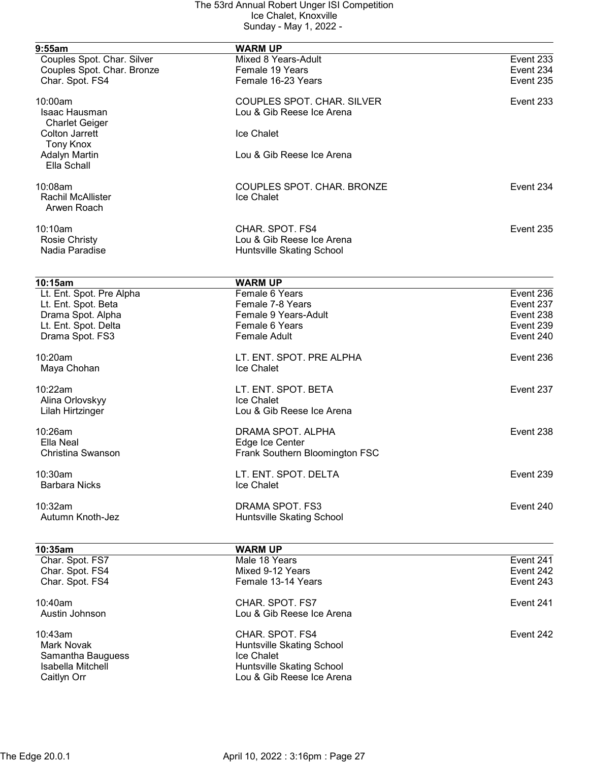| 9:55am                     | <b>WARM UP</b>                    |           |
|----------------------------|-----------------------------------|-----------|
| Couples Spot. Char. Silver | Mixed 8 Years-Adult               | Event 233 |
| Couples Spot. Char. Bronze | Female 19 Years                   | Event 234 |
| Char. Spot. FS4            | Female 16-23 Years                | Event 235 |
|                            |                                   |           |
| 10:00am                    | <b>COUPLES SPOT. CHAR. SILVER</b> | Event 233 |
| Isaac Hausman              | Lou & Gib Reese Ice Arena         |           |
| <b>Charlet Geiger</b>      |                                   |           |
| <b>Colton Jarrett</b>      | Ice Chalet                        |           |
| <b>Tony Knox</b>           |                                   |           |
| <b>Adalyn Martin</b>       | Lou & Gib Reese Ice Arena         |           |
| Ella Schall                |                                   |           |
|                            |                                   |           |
| 10:08am                    | COUPLES SPOT. CHAR. BRONZE        | Event 234 |
| <b>Rachil McAllister</b>   | Ice Chalet                        |           |
| Arwen Roach                |                                   |           |
|                            |                                   |           |
| 10:10am                    | CHAR. SPOT. FS4                   | Event 235 |
| Rosie Christy              | Lou & Gib Reese Ice Arena         |           |
| Nadia Paradise             | Huntsville Skating School         |           |
|                            |                                   |           |
| 10:15am                    | <b>WARM UP</b>                    |           |
| Lt. Ent. Spot. Pre Alpha   | Female 6 Years                    | Event 236 |
| Lt. Ent. Spot. Beta        | Female 7-8 Years                  | Event 237 |
| Drama Spot. Alpha          | Female 9 Years-Adult              | Event 238 |
| Lt. Ent. Spot. Delta       | Female 6 Years                    | Event 239 |
| Drama Spot. FS3            | <b>Female Adult</b>               | Event 240 |
|                            |                                   |           |
| $10:20$ am                 | LT. ENT. SPOT. PRE ALPHA          | Event 236 |
| Maya Chohan                | Ice Chalet                        |           |
|                            |                                   |           |
| 10:22am                    | LT. ENT. SPOT. BETA               | Event 237 |
| Alina Orlovskyy            | Ice Chalet                        |           |
| Lilah Hirtzinger           | Lou & Gib Reese Ice Arena         |           |
| 10:26am                    | DRAMA SPOT. ALPHA                 | Event 238 |
| Ella Neal                  |                                   |           |
|                            | Edge Ice Center                   |           |
| Christina Swanson          | Frank Southern Bloomington FSC    |           |
| 10:30am                    | LT. ENT. SPOT. DELTA              | Event 239 |
| <b>Barbara Nicks</b>       | Ice Chalet                        |           |
|                            |                                   |           |
| 10:32am                    | DRAMA SPOT. FS3                   | Event 240 |
| Autumn Knoth-Jez           | Huntsville Skating School         |           |
|                            |                                   |           |
| 10:35am                    | <b>WARM UP</b>                    |           |
| Char. Spot. FS7            | Male 18 Years                     | Event 241 |
| Char. Spot. FS4            | Mixed 9-12 Years                  | Event 242 |
| Char. Spot. FS4            | Female 13-14 Years                | Event 243 |
| 10:40am                    | CHAR. SPOT. FS7                   | Event 241 |
| Austin Johnson             | Lou & Gib Reese Ice Arena         |           |
|                            |                                   |           |
| 10:43am                    | CHAR. SPOT. FS4                   | Event 242 |
| <b>Mark Novak</b>          | Huntsville Skating School         |           |
| Samantha Bauguess          | <b>Ice Chalet</b>                 |           |
| Isabella Mitchell          | Huntsville Skating School         |           |
| Caitlyn Orr                | Lou & Gib Reese Ice Arena         |           |
|                            |                                   |           |
|                            |                                   |           |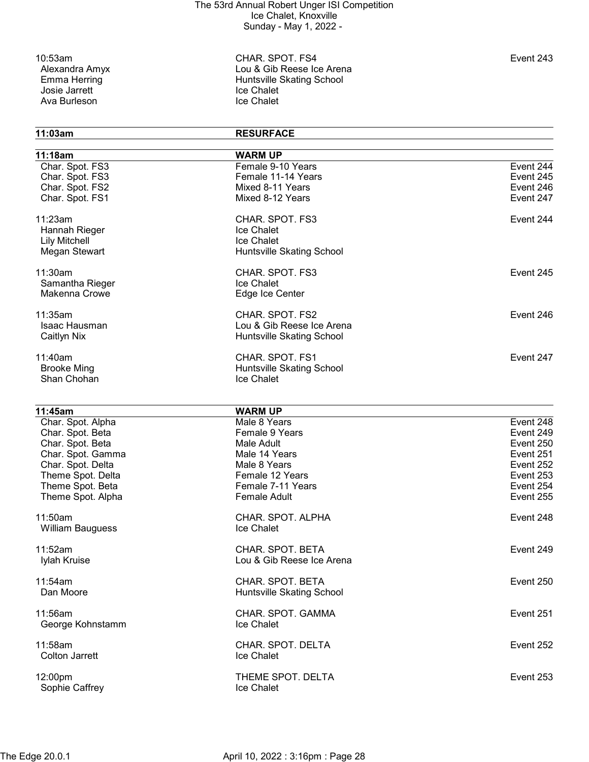Josie Jarrett (1988)<br>Ava Burleson (1989)<br>Ice Chalet Ava Burleson

10:53am CHAR. SPOT. FS4 Event 243 Alexandra Amyx Lou & Gib Reese Ice Arena Huntsville Skating School<br>Ice Chalet

# 11:03am RESURFACE 11:18am WARM UP

| .                       | Female 9-10 Years         | Event 244 |
|-------------------------|---------------------------|-----------|
| Char. Spot. FS3         |                           |           |
| Char. Spot. FS3         | Female 11-14 Years        | Event 245 |
| Char. Spot. FS2         | Mixed 8-11 Years          | Event 246 |
| Char. Spot. FS1         | Mixed 8-12 Years          | Event 247 |
| 11:23am                 | CHAR. SPOT. FS3           | Event 244 |
| Hannah Rieger           | Ice Chalet                |           |
| <b>Lily Mitchell</b>    | Ice Chalet                |           |
| Megan Stewart           | Huntsville Skating School |           |
| 11:30am                 | CHAR. SPOT. FS3           | Event 245 |
| Samantha Rieger         | <b>Ice Chalet</b>         |           |
|                         |                           |           |
| Makenna Crowe           | Edge Ice Center           |           |
| 11:35am                 | CHAR. SPOT. FS2           | Event 246 |
| Isaac Hausman           | Lou & Gib Reese Ice Arena |           |
| Caitlyn Nix             | Huntsville Skating School |           |
| 11:40am                 | CHAR. SPOT. FS1           | Event 247 |
| <b>Brooke Ming</b>      | Huntsville Skating School |           |
| Shan Chohan             | <b>Ice Chalet</b>         |           |
|                         |                           |           |
| 11:45am                 | <b>WARM UP</b>            |           |
| Char. Spot. Alpha       | Male 8 Years              | Event 248 |
| Char. Spot. Beta        | Female 9 Years            | Event 249 |
| Char. Spot. Beta        | Male Adult                | Event 250 |
| Char. Spot. Gamma       | Male 14 Years             | Event 251 |
| Char. Spot. Delta       | Male 8 Years              | Event 252 |
| Theme Spot. Delta       | Female 12 Years           | Event 253 |
| Theme Spot. Beta        | Female 7-11 Years         | Event 254 |
|                         | <b>Female Adult</b>       |           |
| Theme Spot. Alpha       |                           | Event 255 |
| 11:50am                 | CHAR. SPOT. ALPHA         | Event 248 |
| <b>William Bauguess</b> | Ice Chalet                |           |
| 11:52am                 | CHAR. SPOT. BETA          | Event 249 |
|                         |                           |           |
| Iylah Kruise            | Lou & Gib Reese Ice Arena |           |
| 11:54am                 | CHAR. SPOT. BETA          | Event 250 |
| Dan Moore               | Huntsville Skating School |           |
|                         |                           |           |
| 11:56am                 | CHAR. SPOT. GAMMA         | Event 251 |
| George Kohnstamm        | Ice Chalet                |           |
| 11:58am                 | CHAR. SPOT. DELTA         | Event 252 |
| <b>Colton Jarrett</b>   | Ice Chalet                |           |
|                         |                           |           |
| 12:00pm                 | THEME SPOT. DELTA         | Event 253 |
| Sophie Caffrey          | Ice Chalet                |           |
|                         |                           |           |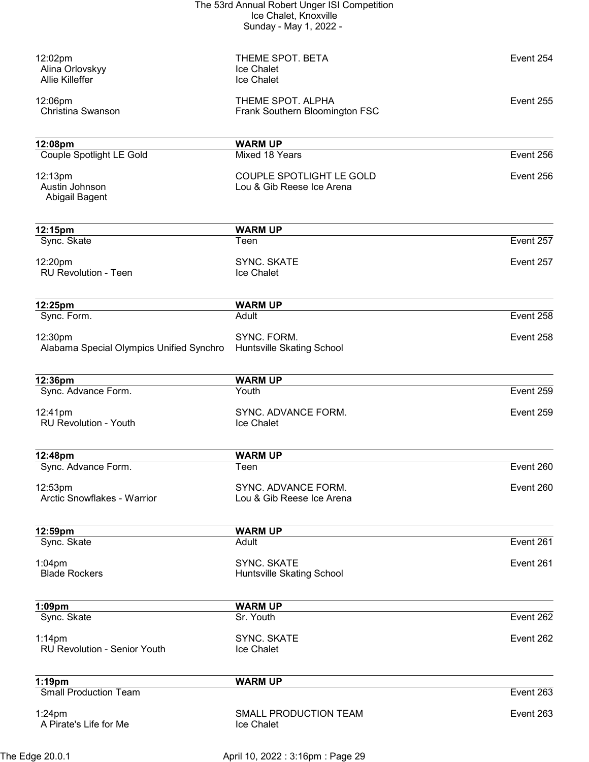| 12:02pm<br>Alina Orlovskyy<br><b>Allie Killeffer</b> | THEME SPOT. BETA<br>Ice Chalet<br>Ice Chalet                 | Event 254 |
|------------------------------------------------------|--------------------------------------------------------------|-----------|
| 12:06pm<br>Christina Swanson                         | THEME SPOT. ALPHA<br>Frank Southern Bloomington FSC          | Event 255 |
| 12:08pm                                              | <b>WARM UP</b>                                               |           |
| <b>Couple Spotlight LE Gold</b>                      | Mixed 18 Years                                               | Event 256 |
| 12:13pm<br>Austin Johnson<br>Abigail Bagent          | <b>COUPLE SPOTLIGHT LE GOLD</b><br>Lou & Gib Reese Ice Arena | Event 256 |
| 12:15pm                                              | <b>WARM UP</b>                                               |           |
| Sync. Skate                                          | Teen                                                         | Event 257 |
| 12:20pm<br><b>RU Revolution - Teen</b>               | <b>SYNC, SKATE</b><br>Ice Chalet                             | Event 257 |
| 12:25pm                                              | <b>WARM UP</b>                                               |           |
| Sync. Form.                                          | Adult                                                        | Event 258 |
| 12:30pm<br>Alabama Special Olympics Unified Synchro  | SYNC. FORM.<br>Huntsville Skating School                     | Event 258 |
| 12:36pm                                              | <b>WARM UP</b>                                               |           |
| Sync. Advance Form.                                  | Youth                                                        | Event 259 |
| 12:41pm<br><b>RU Revolution - Youth</b>              | SYNC. ADVANCE FORM.<br>Ice Chalet                            | Event 259 |
| 12:48pm                                              | <b>WARM UP</b>                                               |           |
| Sync. Advance Form.                                  | Teen                                                         | Event 260 |
| 12:53pm<br>Arctic Snowflakes - Warrior               | SYNC. ADVANCE FORM.<br>Lou & Gib Reese Ice Arena             | Event 260 |
| 12:59pm                                              | <b>WARM UP</b>                                               |           |
| Sync. Skate                                          | Adult                                                        | Event 261 |
| $1:04$ pm<br><b>Blade Rockers</b>                    | SYNC. SKATE<br>Huntsville Skating School                     | Event 261 |
| $1:09$ pm                                            | <b>WARM UP</b>                                               |           |
| Sync. Skate                                          | Sr. Youth                                                    | Event 262 |
| $1:14$ pm<br>RU Revolution - Senior Youth            | SYNC. SKATE<br>Ice Chalet                                    | Event 262 |
| 1:19pm                                               | <b>WARM UP</b>                                               |           |
| <b>Small Production Team</b>                         |                                                              | Event 263 |
| $1:24$ pm<br>A Pirate's Life for Me                  | SMALL PRODUCTION TEAM<br>Ice Chalet                          | Event 263 |